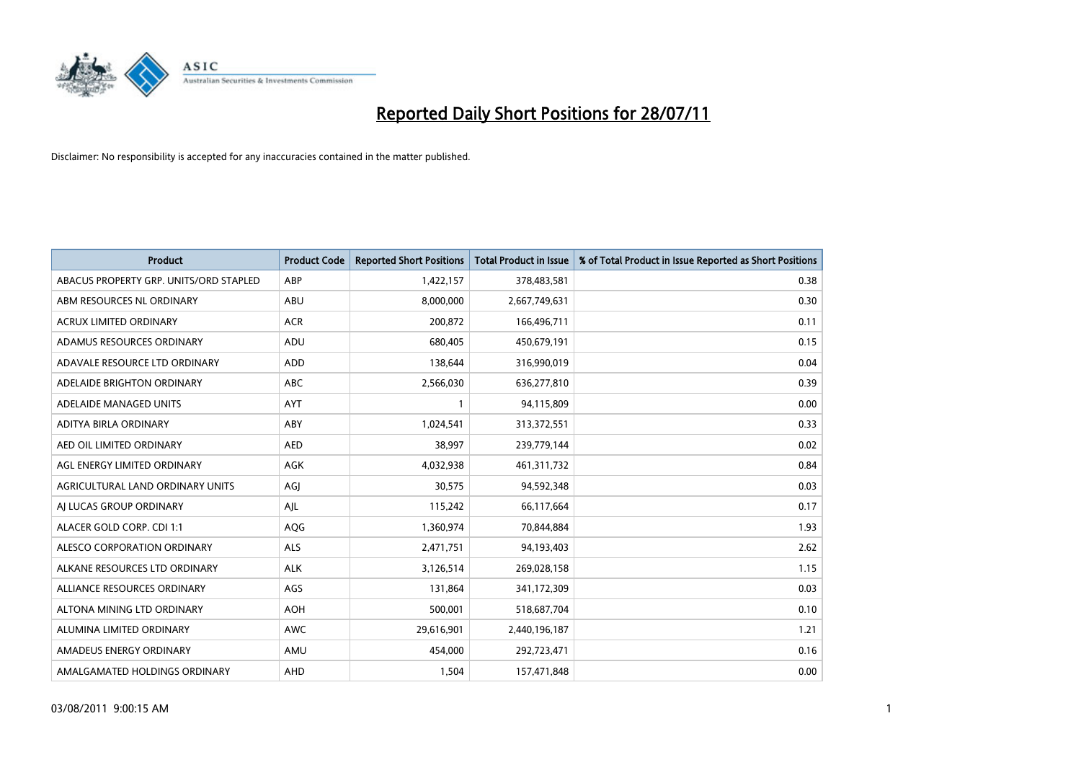

| <b>Product</b>                         | <b>Product Code</b> | <b>Reported Short Positions</b> | <b>Total Product in Issue</b> | % of Total Product in Issue Reported as Short Positions |
|----------------------------------------|---------------------|---------------------------------|-------------------------------|---------------------------------------------------------|
| ABACUS PROPERTY GRP. UNITS/ORD STAPLED | ABP                 | 1,422,157                       | 378,483,581                   | 0.38                                                    |
| ABM RESOURCES NL ORDINARY              | ABU                 | 8,000,000                       | 2,667,749,631                 | 0.30                                                    |
| <b>ACRUX LIMITED ORDINARY</b>          | <b>ACR</b>          | 200,872                         | 166,496,711                   | 0.11                                                    |
| ADAMUS RESOURCES ORDINARY              | ADU                 | 680,405                         | 450,679,191                   | 0.15                                                    |
| ADAVALE RESOURCE LTD ORDINARY          | ADD                 | 138,644                         | 316,990,019                   | 0.04                                                    |
| ADELAIDE BRIGHTON ORDINARY             | <b>ABC</b>          | 2,566,030                       | 636,277,810                   | 0.39                                                    |
| ADELAIDE MANAGED UNITS                 | <b>AYT</b>          |                                 | 94,115,809                    | 0.00                                                    |
| ADITYA BIRLA ORDINARY                  | ABY                 | 1,024,541                       | 313,372,551                   | 0.33                                                    |
| AED OIL LIMITED ORDINARY               | <b>AED</b>          | 38,997                          | 239,779,144                   | 0.02                                                    |
| AGL ENERGY LIMITED ORDINARY            | <b>AGK</b>          | 4,032,938                       | 461,311,732                   | 0.84                                                    |
| AGRICULTURAL LAND ORDINARY UNITS       | AGJ                 | 30,575                          | 94,592,348                    | 0.03                                                    |
| AI LUCAS GROUP ORDINARY                | AIL                 | 115,242                         | 66,117,664                    | 0.17                                                    |
| ALACER GOLD CORP. CDI 1:1              | AQG                 | 1,360,974                       | 70,844,884                    | 1.93                                                    |
| ALESCO CORPORATION ORDINARY            | <b>ALS</b>          | 2,471,751                       | 94,193,403                    | 2.62                                                    |
| ALKANE RESOURCES LTD ORDINARY          | <b>ALK</b>          | 3,126,514                       | 269,028,158                   | 1.15                                                    |
| ALLIANCE RESOURCES ORDINARY            | AGS                 | 131,864                         | 341,172,309                   | 0.03                                                    |
| ALTONA MINING LTD ORDINARY             | <b>AOH</b>          | 500,001                         | 518,687,704                   | 0.10                                                    |
| ALUMINA LIMITED ORDINARY               | <b>AWC</b>          | 29,616,901                      | 2,440,196,187                 | 1.21                                                    |
| AMADEUS ENERGY ORDINARY                | AMU                 | 454,000                         | 292,723,471                   | 0.16                                                    |
| AMALGAMATED HOLDINGS ORDINARY          | AHD                 | 1,504                           | 157,471,848                   | 0.00                                                    |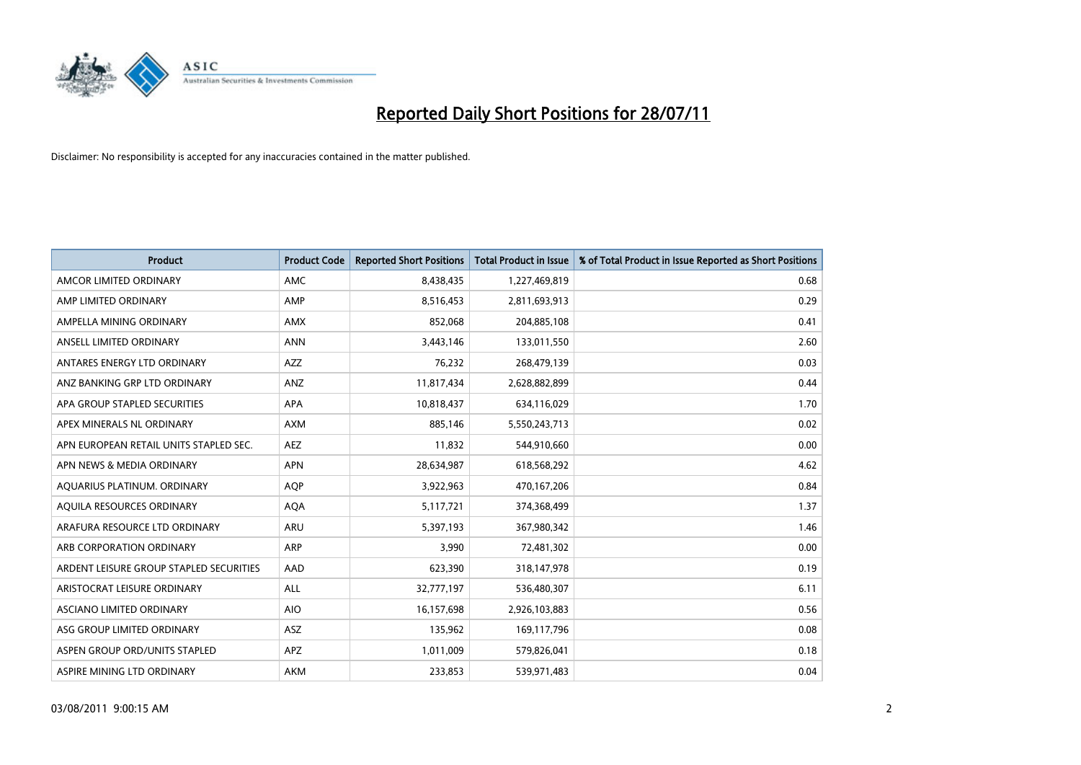

| <b>Product</b>                          | <b>Product Code</b> | <b>Reported Short Positions</b> | <b>Total Product in Issue</b> | % of Total Product in Issue Reported as Short Positions |
|-----------------------------------------|---------------------|---------------------------------|-------------------------------|---------------------------------------------------------|
| AMCOR LIMITED ORDINARY                  | <b>AMC</b>          | 8,438,435                       | 1,227,469,819                 | 0.68                                                    |
| AMP LIMITED ORDINARY                    | AMP                 | 8,516,453                       | 2,811,693,913                 | 0.29                                                    |
| AMPELLA MINING ORDINARY                 | AMX                 | 852,068                         | 204,885,108                   | 0.41                                                    |
| ANSELL LIMITED ORDINARY                 | <b>ANN</b>          | 3,443,146                       | 133,011,550                   | 2.60                                                    |
| ANTARES ENERGY LTD ORDINARY             | <b>AZZ</b>          | 76,232                          | 268,479,139                   | 0.03                                                    |
| ANZ BANKING GRP LTD ORDINARY            | ANZ                 | 11,817,434                      | 2,628,882,899                 | 0.44                                                    |
| APA GROUP STAPLED SECURITIES            | <b>APA</b>          | 10,818,437                      | 634,116,029                   | 1.70                                                    |
| APEX MINERALS NL ORDINARY               | <b>AXM</b>          | 885,146                         | 5,550,243,713                 | 0.02                                                    |
| APN EUROPEAN RETAIL UNITS STAPLED SEC.  | <b>AEZ</b>          | 11,832                          | 544,910,660                   | 0.00                                                    |
| APN NEWS & MEDIA ORDINARY               | <b>APN</b>          | 28,634,987                      | 618,568,292                   | 4.62                                                    |
| AQUARIUS PLATINUM. ORDINARY             | <b>AQP</b>          | 3,922,963                       | 470,167,206                   | 0.84                                                    |
| AOUILA RESOURCES ORDINARY               | <b>AQA</b>          | 5,117,721                       | 374,368,499                   | 1.37                                                    |
| ARAFURA RESOURCE LTD ORDINARY           | <b>ARU</b>          | 5,397,193                       | 367,980,342                   | 1.46                                                    |
| ARB CORPORATION ORDINARY                | <b>ARP</b>          | 3,990                           | 72,481,302                    | 0.00                                                    |
| ARDENT LEISURE GROUP STAPLED SECURITIES | AAD                 | 623,390                         | 318,147,978                   | 0.19                                                    |
| ARISTOCRAT LEISURE ORDINARY             | <b>ALL</b>          | 32,777,197                      | 536,480,307                   | 6.11                                                    |
| ASCIANO LIMITED ORDINARY                | <b>AIO</b>          | 16,157,698                      | 2,926,103,883                 | 0.56                                                    |
| ASG GROUP LIMITED ORDINARY              | <b>ASZ</b>          | 135,962                         | 169,117,796                   | 0.08                                                    |
| ASPEN GROUP ORD/UNITS STAPLED           | APZ                 | 1,011,009                       | 579,826,041                   | 0.18                                                    |
| ASPIRE MINING LTD ORDINARY              | <b>AKM</b>          | 233,853                         | 539,971,483                   | 0.04                                                    |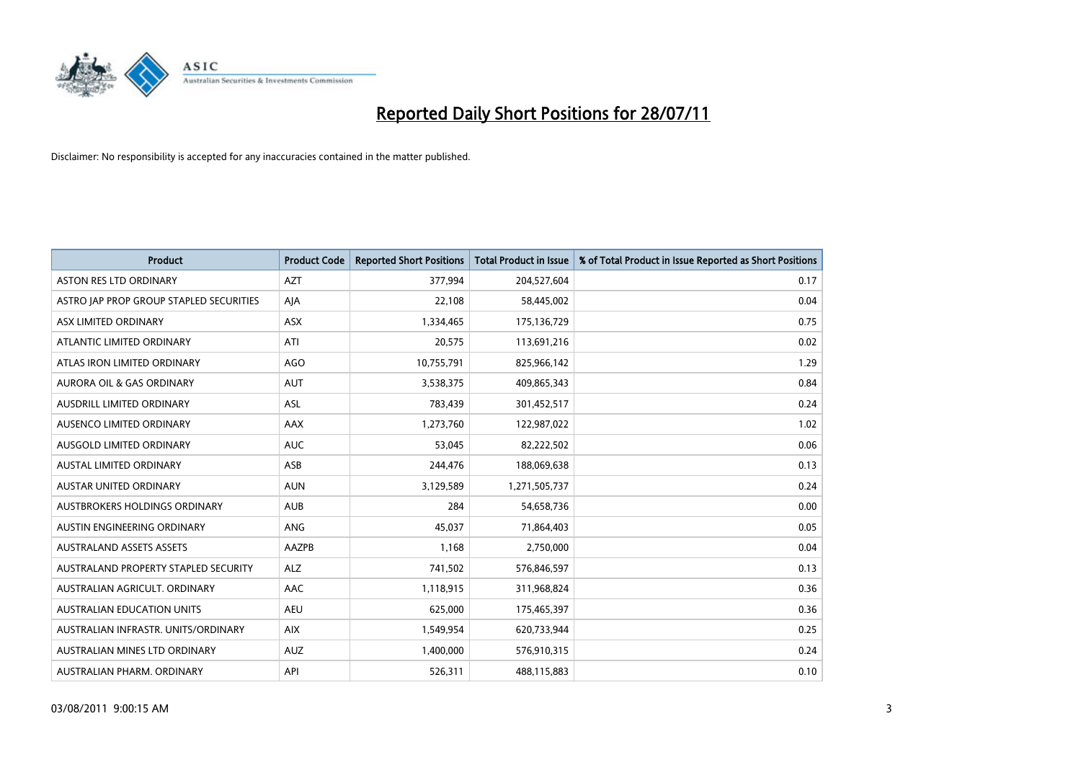

| <b>Product</b>                          | <b>Product Code</b> | <b>Reported Short Positions</b> | Total Product in Issue | % of Total Product in Issue Reported as Short Positions |
|-----------------------------------------|---------------------|---------------------------------|------------------------|---------------------------------------------------------|
| <b>ASTON RES LTD ORDINARY</b>           | <b>AZT</b>          | 377,994                         | 204,527,604            | 0.17                                                    |
| ASTRO JAP PROP GROUP STAPLED SECURITIES | AJA                 | 22,108                          | 58,445,002             | 0.04                                                    |
| ASX LIMITED ORDINARY                    | <b>ASX</b>          | 1,334,465                       | 175,136,729            | 0.75                                                    |
| ATLANTIC LIMITED ORDINARY               | ATI                 | 20,575                          | 113,691,216            | 0.02                                                    |
| ATLAS IRON LIMITED ORDINARY             | <b>AGO</b>          | 10,755,791                      | 825,966,142            | 1.29                                                    |
| <b>AURORA OIL &amp; GAS ORDINARY</b>    | <b>AUT</b>          | 3,538,375                       | 409,865,343            | 0.84                                                    |
| AUSDRILL LIMITED ORDINARY               | <b>ASL</b>          | 783,439                         | 301,452,517            | 0.24                                                    |
| AUSENCO LIMITED ORDINARY                | <b>AAX</b>          | 1,273,760                       | 122,987,022            | 1.02                                                    |
| AUSGOLD LIMITED ORDINARY                | <b>AUC</b>          | 53,045                          | 82,222,502             | 0.06                                                    |
| <b>AUSTAL LIMITED ORDINARY</b>          | ASB                 | 244,476                         | 188,069,638            | 0.13                                                    |
| AUSTAR UNITED ORDINARY                  | <b>AUN</b>          | 3,129,589                       | 1,271,505,737          | 0.24                                                    |
| <b>AUSTBROKERS HOLDINGS ORDINARY</b>    | <b>AUB</b>          | 284                             | 54,658,736             | 0.00                                                    |
| AUSTIN ENGINEERING ORDINARY             | ANG                 | 45,037                          | 71,864,403             | 0.05                                                    |
| <b>AUSTRALAND ASSETS ASSETS</b>         | AAZPB               | 1,168                           | 2,750,000              | 0.04                                                    |
| AUSTRALAND PROPERTY STAPLED SECURITY    | <b>ALZ</b>          | 741,502                         | 576,846,597            | 0.13                                                    |
| AUSTRALIAN AGRICULT. ORDINARY           | AAC                 | 1,118,915                       | 311,968,824            | 0.36                                                    |
| AUSTRALIAN EDUCATION UNITS              | <b>AEU</b>          | 625,000                         | 175,465,397            | 0.36                                                    |
| AUSTRALIAN INFRASTR. UNITS/ORDINARY     | <b>AIX</b>          | 1,549,954                       | 620,733,944            | 0.25                                                    |
| AUSTRALIAN MINES LTD ORDINARY           | <b>AUZ</b>          | 1,400,000                       | 576,910,315            | 0.24                                                    |
| AUSTRALIAN PHARM. ORDINARY              | API                 | 526,311                         | 488,115,883            | 0.10                                                    |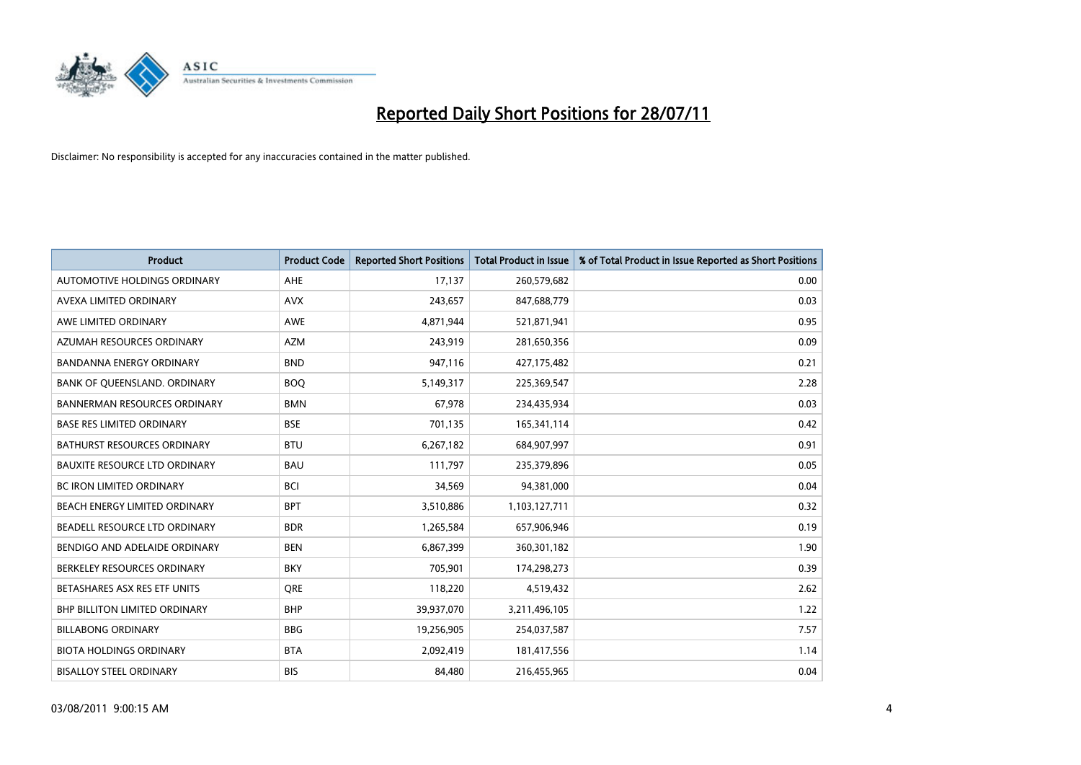

| <b>Product</b>                       | <b>Product Code</b> | <b>Reported Short Positions</b> | <b>Total Product in Issue</b> | % of Total Product in Issue Reported as Short Positions |
|--------------------------------------|---------------------|---------------------------------|-------------------------------|---------------------------------------------------------|
| AUTOMOTIVE HOLDINGS ORDINARY         | AHE                 | 17,137                          | 260,579,682                   | 0.00                                                    |
| AVEXA LIMITED ORDINARY               | <b>AVX</b>          | 243,657                         | 847,688,779                   | 0.03                                                    |
| AWE LIMITED ORDINARY                 | AWE                 | 4,871,944                       | 521,871,941                   | 0.95                                                    |
| AZUMAH RESOURCES ORDINARY            | <b>AZM</b>          | 243,919                         | 281,650,356                   | 0.09                                                    |
| <b>BANDANNA ENERGY ORDINARY</b>      | <b>BND</b>          | 947,116                         | 427,175,482                   | 0.21                                                    |
| BANK OF QUEENSLAND. ORDINARY         | <b>BOO</b>          | 5,149,317                       | 225,369,547                   | 2.28                                                    |
| <b>BANNERMAN RESOURCES ORDINARY</b>  | <b>BMN</b>          | 67,978                          | 234,435,934                   | 0.03                                                    |
| <b>BASE RES LIMITED ORDINARY</b>     | <b>BSE</b>          | 701,135                         | 165,341,114                   | 0.42                                                    |
| <b>BATHURST RESOURCES ORDINARY</b>   | <b>BTU</b>          | 6,267,182                       | 684,907,997                   | 0.91                                                    |
| <b>BAUXITE RESOURCE LTD ORDINARY</b> | <b>BAU</b>          | 111,797                         | 235,379,896                   | 0.05                                                    |
| <b>BC IRON LIMITED ORDINARY</b>      | <b>BCI</b>          | 34,569                          | 94,381,000                    | 0.04                                                    |
| BEACH ENERGY LIMITED ORDINARY        | <b>BPT</b>          | 3,510,886                       | 1,103,127,711                 | 0.32                                                    |
| BEADELL RESOURCE LTD ORDINARY        | <b>BDR</b>          | 1,265,584                       | 657,906,946                   | 0.19                                                    |
| BENDIGO AND ADELAIDE ORDINARY        | <b>BEN</b>          | 6,867,399                       | 360,301,182                   | 1.90                                                    |
| BERKELEY RESOURCES ORDINARY          | <b>BKY</b>          | 705,901                         | 174,298,273                   | 0.39                                                    |
| BETASHARES ASX RES ETF UNITS         | <b>ORE</b>          | 118,220                         | 4,519,432                     | 2.62                                                    |
| <b>BHP BILLITON LIMITED ORDINARY</b> | <b>BHP</b>          | 39,937,070                      | 3,211,496,105                 | 1.22                                                    |
| <b>BILLABONG ORDINARY</b>            | <b>BBG</b>          | 19,256,905                      | 254,037,587                   | 7.57                                                    |
| <b>BIOTA HOLDINGS ORDINARY</b>       | <b>BTA</b>          | 2,092,419                       | 181,417,556                   | 1.14                                                    |
| <b>BISALLOY STEEL ORDINARY</b>       | <b>BIS</b>          | 84.480                          | 216,455,965                   | 0.04                                                    |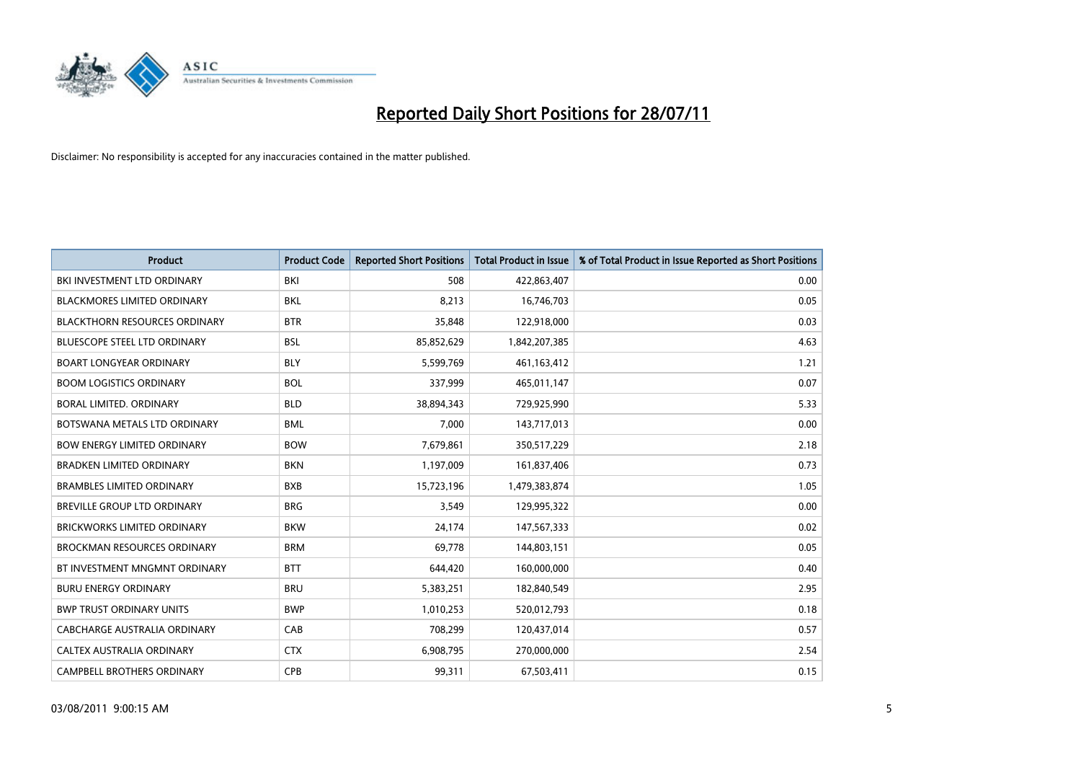

| <b>Product</b>                       | <b>Product Code</b> | <b>Reported Short Positions</b> | <b>Total Product in Issue</b> | % of Total Product in Issue Reported as Short Positions |
|--------------------------------------|---------------------|---------------------------------|-------------------------------|---------------------------------------------------------|
| BKI INVESTMENT LTD ORDINARY          | BKI                 | 508                             | 422,863,407                   | 0.00                                                    |
| BLACKMORES LIMITED ORDINARY          | <b>BKL</b>          | 8,213                           | 16,746,703                    | 0.05                                                    |
| <b>BLACKTHORN RESOURCES ORDINARY</b> | <b>BTR</b>          | 35,848                          | 122,918,000                   | 0.03                                                    |
| BLUESCOPE STEEL LTD ORDINARY         | <b>BSL</b>          | 85,852,629                      | 1,842,207,385                 | 4.63                                                    |
| <b>BOART LONGYEAR ORDINARY</b>       | <b>BLY</b>          | 5,599,769                       | 461,163,412                   | 1.21                                                    |
| <b>BOOM LOGISTICS ORDINARY</b>       | <b>BOL</b>          | 337,999                         | 465,011,147                   | 0.07                                                    |
| BORAL LIMITED, ORDINARY              | <b>BLD</b>          | 38,894,343                      | 729,925,990                   | 5.33                                                    |
| BOTSWANA METALS LTD ORDINARY         | <b>BML</b>          | 7,000                           | 143,717,013                   | 0.00                                                    |
| <b>BOW ENERGY LIMITED ORDINARY</b>   | <b>BOW</b>          | 7,679,861                       | 350,517,229                   | 2.18                                                    |
| <b>BRADKEN LIMITED ORDINARY</b>      | <b>BKN</b>          | 1,197,009                       | 161,837,406                   | 0.73                                                    |
| BRAMBLES LIMITED ORDINARY            | <b>BXB</b>          | 15,723,196                      | 1,479,383,874                 | 1.05                                                    |
| <b>BREVILLE GROUP LTD ORDINARY</b>   | <b>BRG</b>          | 3,549                           | 129,995,322                   | 0.00                                                    |
| <b>BRICKWORKS LIMITED ORDINARY</b>   | <b>BKW</b>          | 24,174                          | 147,567,333                   | 0.02                                                    |
| <b>BROCKMAN RESOURCES ORDINARY</b>   | <b>BRM</b>          | 69,778                          | 144,803,151                   | 0.05                                                    |
| BT INVESTMENT MNGMNT ORDINARY        | <b>BTT</b>          | 644,420                         | 160,000,000                   | 0.40                                                    |
| <b>BURU ENERGY ORDINARY</b>          | <b>BRU</b>          | 5,383,251                       | 182,840,549                   | 2.95                                                    |
| <b>BWP TRUST ORDINARY UNITS</b>      | <b>BWP</b>          | 1,010,253                       | 520,012,793                   | 0.18                                                    |
| CABCHARGE AUSTRALIA ORDINARY         | CAB                 | 708,299                         | 120,437,014                   | 0.57                                                    |
| CALTEX AUSTRALIA ORDINARY            | <b>CTX</b>          | 6,908,795                       | 270,000,000                   | 2.54                                                    |
| <b>CAMPBELL BROTHERS ORDINARY</b>    | CPB                 | 99,311                          | 67,503,411                    | 0.15                                                    |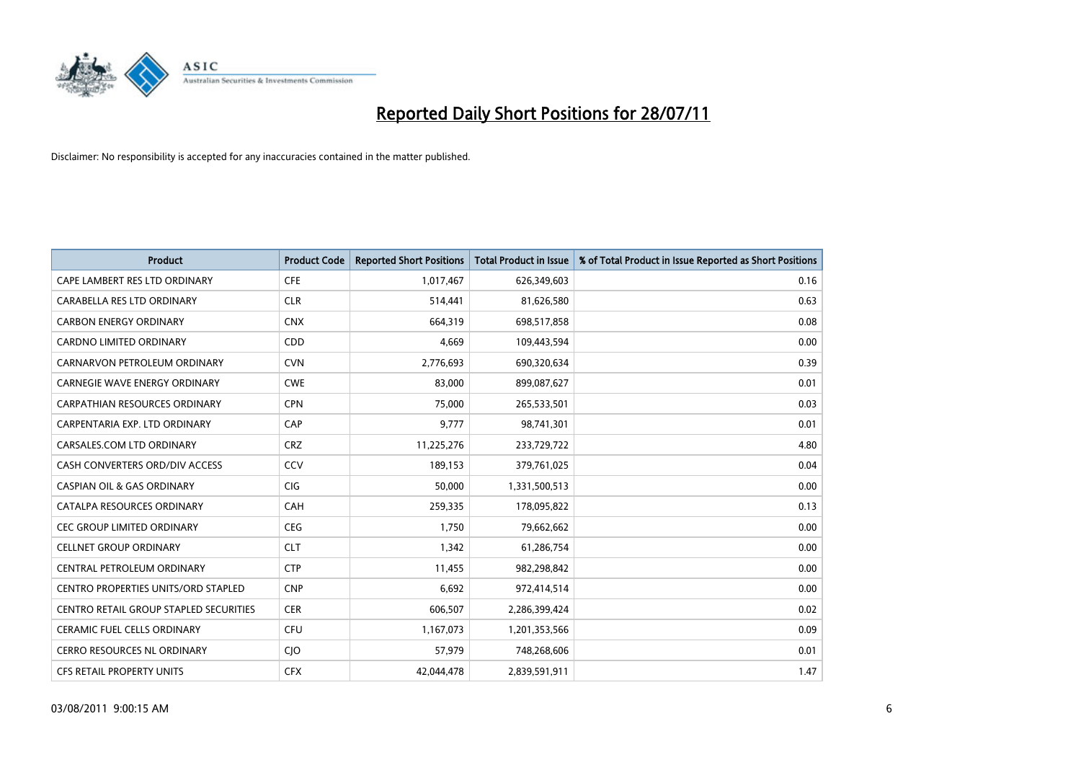

| <b>Product</b>                         | <b>Product Code</b> | <b>Reported Short Positions</b> | <b>Total Product in Issue</b> | % of Total Product in Issue Reported as Short Positions |
|----------------------------------------|---------------------|---------------------------------|-------------------------------|---------------------------------------------------------|
| CAPE LAMBERT RES LTD ORDINARY          | <b>CFE</b>          | 1,017,467                       | 626,349,603                   | 0.16                                                    |
| CARABELLA RES LTD ORDINARY             | <b>CLR</b>          | 514,441                         | 81,626,580                    | 0.63                                                    |
| <b>CARBON ENERGY ORDINARY</b>          | <b>CNX</b>          | 664,319                         | 698,517,858                   | 0.08                                                    |
| CARDNO LIMITED ORDINARY                | <b>CDD</b>          | 4,669                           | 109,443,594                   | 0.00                                                    |
| CARNARVON PETROLEUM ORDINARY           | <b>CVN</b>          | 2,776,693                       | 690,320,634                   | 0.39                                                    |
| <b>CARNEGIE WAVE ENERGY ORDINARY</b>   | <b>CWE</b>          | 83,000                          | 899,087,627                   | 0.01                                                    |
| <b>CARPATHIAN RESOURCES ORDINARY</b>   | <b>CPN</b>          | 75.000                          | 265,533,501                   | 0.03                                                    |
| CARPENTARIA EXP. LTD ORDINARY          | CAP                 | 9,777                           | 98,741,301                    | 0.01                                                    |
| CARSALES.COM LTD ORDINARY              | <b>CRZ</b>          | 11,225,276                      | 233,729,722                   | 4.80                                                    |
| CASH CONVERTERS ORD/DIV ACCESS         | CCV                 | 189,153                         | 379,761,025                   | 0.04                                                    |
| CASPIAN OIL & GAS ORDINARY             | <b>CIG</b>          | 50,000                          | 1,331,500,513                 | 0.00                                                    |
| CATALPA RESOURCES ORDINARY             | CAH                 | 259,335                         | 178,095,822                   | 0.13                                                    |
| <b>CEC GROUP LIMITED ORDINARY</b>      | <b>CEG</b>          | 1,750                           | 79,662,662                    | 0.00                                                    |
| <b>CELLNET GROUP ORDINARY</b>          | <b>CLT</b>          | 1,342                           | 61,286,754                    | 0.00                                                    |
| CENTRAL PETROLEUM ORDINARY             | <b>CTP</b>          | 11,455                          | 982,298,842                   | 0.00                                                    |
| CENTRO PROPERTIES UNITS/ORD STAPLED    | <b>CNP</b>          | 6,692                           | 972,414,514                   | 0.00                                                    |
| CENTRO RETAIL GROUP STAPLED SECURITIES | <b>CER</b>          | 606,507                         | 2,286,399,424                 | 0.02                                                    |
| CERAMIC FUEL CELLS ORDINARY            | CFU                 | 1,167,073                       | 1,201,353,566                 | 0.09                                                    |
| <b>CERRO RESOURCES NL ORDINARY</b>     | <b>CIO</b>          | 57,979                          | 748,268,606                   | 0.01                                                    |
| <b>CFS RETAIL PROPERTY UNITS</b>       | <b>CFX</b>          | 42.044.478                      | 2,839,591,911                 | 1.47                                                    |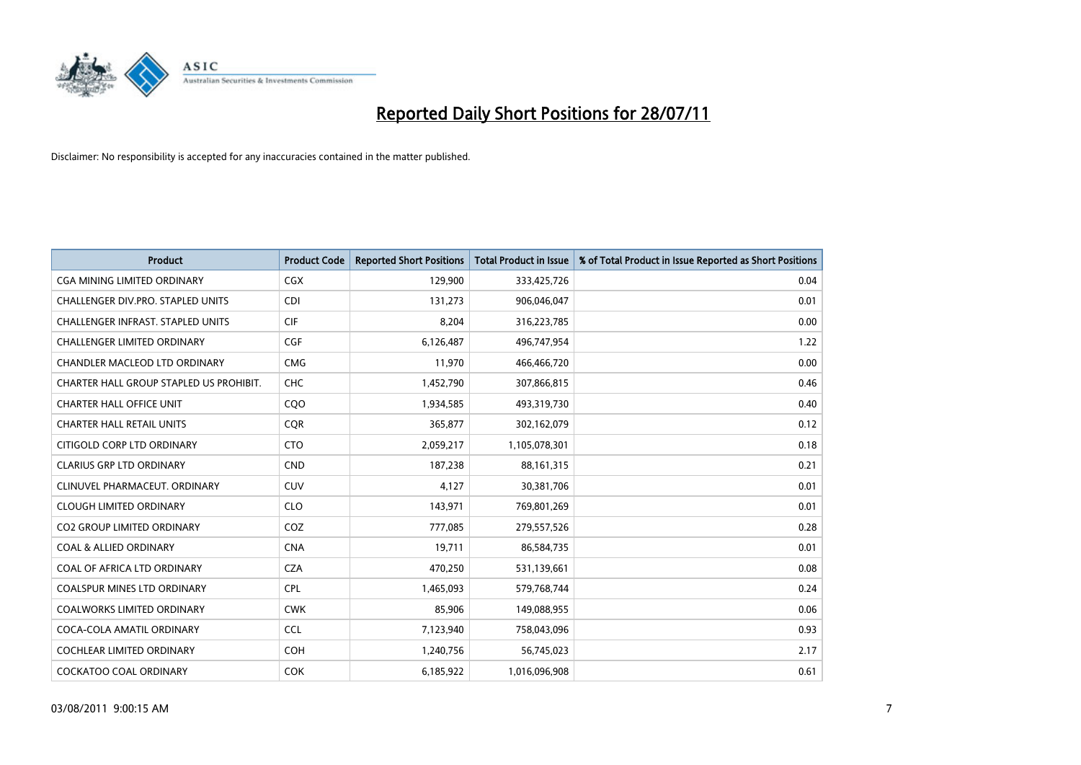

| <b>Product</b>                           | <b>Product Code</b> | <b>Reported Short Positions</b> | <b>Total Product in Issue</b> | % of Total Product in Issue Reported as Short Positions |
|------------------------------------------|---------------------|---------------------------------|-------------------------------|---------------------------------------------------------|
| <b>CGA MINING LIMITED ORDINARY</b>       | <b>CGX</b>          | 129,900                         | 333,425,726                   | 0.04                                                    |
| CHALLENGER DIV.PRO. STAPLED UNITS        | <b>CDI</b>          | 131,273                         | 906,046,047                   | 0.01                                                    |
| <b>CHALLENGER INFRAST, STAPLED UNITS</b> | <b>CIF</b>          | 8,204                           | 316,223,785                   | 0.00                                                    |
| CHALLENGER LIMITED ORDINARY              | <b>CGF</b>          | 6,126,487                       | 496,747,954                   | 1.22                                                    |
| <b>CHANDLER MACLEOD LTD ORDINARY</b>     | <b>CMG</b>          | 11,970                          | 466,466,720                   | 0.00                                                    |
| CHARTER HALL GROUP STAPLED US PROHIBIT.  | CHC                 | 1,452,790                       | 307,866,815                   | 0.46                                                    |
| <b>CHARTER HALL OFFICE UNIT</b>          | CQ <sub>O</sub>     | 1,934,585                       | 493,319,730                   | 0.40                                                    |
| <b>CHARTER HALL RETAIL UNITS</b>         | <b>CQR</b>          | 365,877                         | 302,162,079                   | 0.12                                                    |
| CITIGOLD CORP LTD ORDINARY               | <b>CTO</b>          | 2,059,217                       | 1,105,078,301                 | 0.18                                                    |
| <b>CLARIUS GRP LTD ORDINARY</b>          | <b>CND</b>          | 187,238                         | 88,161,315                    | 0.21                                                    |
| CLINUVEL PHARMACEUT, ORDINARY            | <b>CUV</b>          | 4,127                           | 30,381,706                    | 0.01                                                    |
| <b>CLOUGH LIMITED ORDINARY</b>           | <b>CLO</b>          | 143,971                         | 769,801,269                   | 0.01                                                    |
| <b>CO2 GROUP LIMITED ORDINARY</b>        | COZ                 | 777,085                         | 279,557,526                   | 0.28                                                    |
| <b>COAL &amp; ALLIED ORDINARY</b>        | <b>CNA</b>          | 19,711                          | 86,584,735                    | 0.01                                                    |
| COAL OF AFRICA LTD ORDINARY              | <b>CZA</b>          | 470,250                         | 531,139,661                   | 0.08                                                    |
| <b>COALSPUR MINES LTD ORDINARY</b>       | <b>CPL</b>          | 1,465,093                       | 579,768,744                   | 0.24                                                    |
| <b>COALWORKS LIMITED ORDINARY</b>        | <b>CWK</b>          | 85,906                          | 149,088,955                   | 0.06                                                    |
| COCA-COLA AMATIL ORDINARY                | <b>CCL</b>          | 7,123,940                       | 758,043,096                   | 0.93                                                    |
| <b>COCHLEAR LIMITED ORDINARY</b>         | <b>COH</b>          | 1,240,756                       | 56,745,023                    | 2.17                                                    |
| <b>COCKATOO COAL ORDINARY</b>            | <b>COK</b>          | 6,185,922                       | 1,016,096,908                 | 0.61                                                    |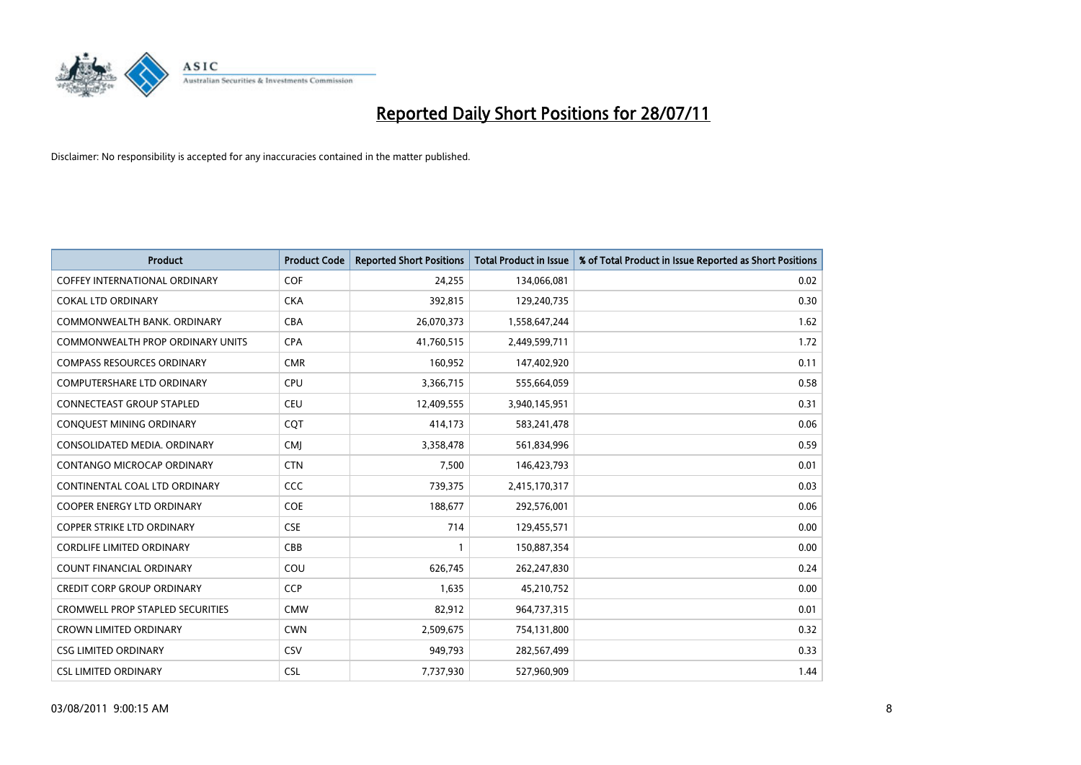

| <b>Product</b>                       | <b>Product Code</b> | <b>Reported Short Positions</b> | <b>Total Product in Issue</b> | % of Total Product in Issue Reported as Short Positions |
|--------------------------------------|---------------------|---------------------------------|-------------------------------|---------------------------------------------------------|
| <b>COFFEY INTERNATIONAL ORDINARY</b> | <b>COF</b>          | 24.255                          | 134,066,081                   | 0.02                                                    |
| COKAL LTD ORDINARY                   | <b>CKA</b>          | 392,815                         | 129,240,735                   | 0.30                                                    |
| COMMONWEALTH BANK, ORDINARY          | <b>CBA</b>          | 26,070,373                      | 1,558,647,244                 | 1.62                                                    |
| COMMONWEALTH PROP ORDINARY UNITS     | <b>CPA</b>          | 41,760,515                      | 2,449,599,711                 | 1.72                                                    |
| <b>COMPASS RESOURCES ORDINARY</b>    | <b>CMR</b>          | 160,952                         | 147,402,920                   | 0.11                                                    |
| <b>COMPUTERSHARE LTD ORDINARY</b>    | <b>CPU</b>          | 3,366,715                       | 555,664,059                   | 0.58                                                    |
| CONNECTEAST GROUP STAPLED            | <b>CEU</b>          | 12,409,555                      | 3,940,145,951                 | 0.31                                                    |
| CONQUEST MINING ORDINARY             | COT                 | 414,173                         | 583,241,478                   | 0.06                                                    |
| CONSOLIDATED MEDIA, ORDINARY         | <b>CMI</b>          | 3,358,478                       | 561,834,996                   | 0.59                                                    |
| CONTANGO MICROCAP ORDINARY           | <b>CTN</b>          | 7,500                           | 146,423,793                   | 0.01                                                    |
| CONTINENTAL COAL LTD ORDINARY        | CCC                 | 739,375                         | 2,415,170,317                 | 0.03                                                    |
| COOPER ENERGY LTD ORDINARY           | <b>COE</b>          | 188,677                         | 292,576,001                   | 0.06                                                    |
| <b>COPPER STRIKE LTD ORDINARY</b>    | <b>CSE</b>          | 714                             | 129,455,571                   | 0.00                                                    |
| <b>CORDLIFE LIMITED ORDINARY</b>     | CBB                 |                                 | 150,887,354                   | 0.00                                                    |
| <b>COUNT FINANCIAL ORDINARY</b>      | COU                 | 626,745                         | 262,247,830                   | 0.24                                                    |
| <b>CREDIT CORP GROUP ORDINARY</b>    | <b>CCP</b>          | 1,635                           | 45,210,752                    | 0.00                                                    |
| CROMWELL PROP STAPLED SECURITIES     | <b>CMW</b>          | 82,912                          | 964,737,315                   | 0.01                                                    |
| <b>CROWN LIMITED ORDINARY</b>        | <b>CWN</b>          | 2,509,675                       | 754,131,800                   | 0.32                                                    |
| <b>CSG LIMITED ORDINARY</b>          | CSV                 | 949,793                         | 282,567,499                   | 0.33                                                    |
| <b>CSL LIMITED ORDINARY</b>          | <b>CSL</b>          | 7,737,930                       | 527,960,909                   | 1.44                                                    |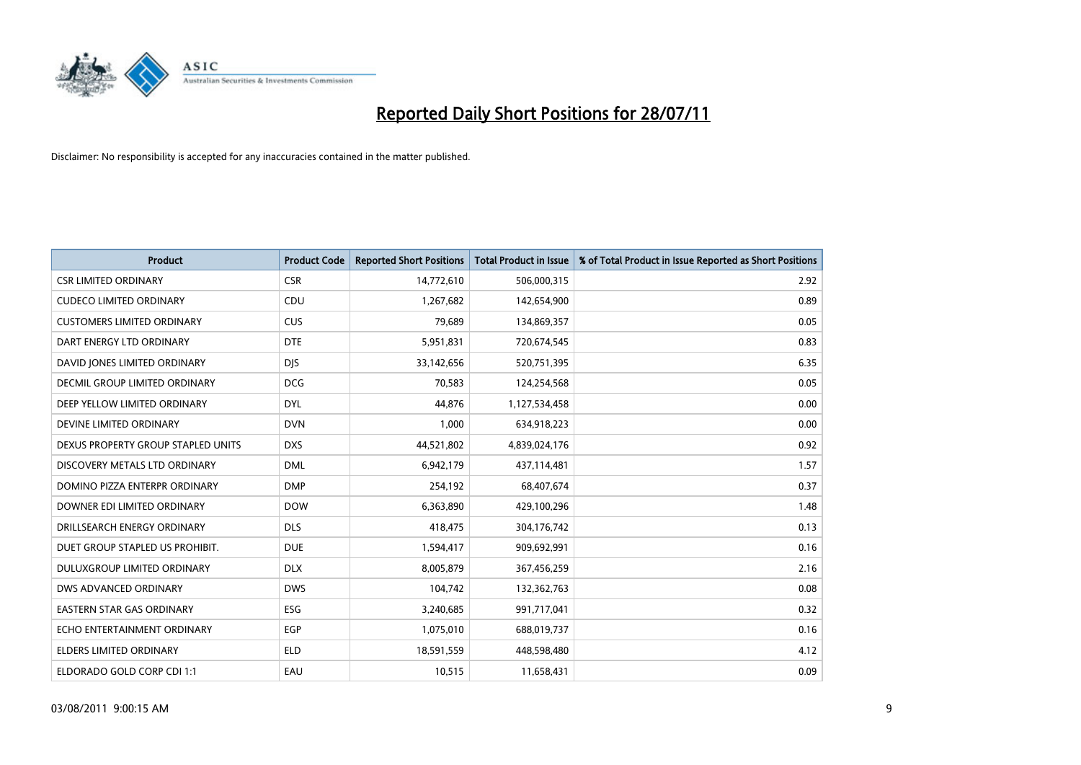

| <b>Product</b>                     | <b>Product Code</b> | <b>Reported Short Positions</b> | <b>Total Product in Issue</b> | % of Total Product in Issue Reported as Short Positions |
|------------------------------------|---------------------|---------------------------------|-------------------------------|---------------------------------------------------------|
| <b>CSR LIMITED ORDINARY</b>        | <b>CSR</b>          | 14,772,610                      | 506,000,315                   | 2.92                                                    |
| <b>CUDECO LIMITED ORDINARY</b>     | CDU                 | 1,267,682                       | 142,654,900                   | 0.89                                                    |
| <b>CUSTOMERS LIMITED ORDINARY</b>  | <b>CUS</b>          | 79,689                          | 134,869,357                   | 0.05                                                    |
| DART ENERGY LTD ORDINARY           | <b>DTE</b>          | 5,951,831                       | 720,674,545                   | 0.83                                                    |
| DAVID JONES LIMITED ORDINARY       | <b>DJS</b>          | 33,142,656                      | 520,751,395                   | 6.35                                                    |
| DECMIL GROUP LIMITED ORDINARY      | <b>DCG</b>          | 70,583                          | 124,254,568                   | 0.05                                                    |
| DEEP YELLOW LIMITED ORDINARY       | <b>DYL</b>          | 44.876                          | 1,127,534,458                 | 0.00                                                    |
| DEVINE LIMITED ORDINARY            | <b>DVN</b>          | 1,000                           | 634,918,223                   | 0.00                                                    |
| DEXUS PROPERTY GROUP STAPLED UNITS | <b>DXS</b>          | 44,521,802                      | 4,839,024,176                 | 0.92                                                    |
| DISCOVERY METALS LTD ORDINARY      | <b>DML</b>          | 6,942,179                       | 437,114,481                   | 1.57                                                    |
| DOMINO PIZZA ENTERPR ORDINARY      | <b>DMP</b>          | 254,192                         | 68,407,674                    | 0.37                                                    |
| DOWNER EDI LIMITED ORDINARY        | <b>DOW</b>          | 6,363,890                       | 429,100,296                   | 1.48                                                    |
| DRILLSEARCH ENERGY ORDINARY        | <b>DLS</b>          | 418,475                         | 304,176,742                   | 0.13                                                    |
| DUET GROUP STAPLED US PROHIBIT.    | <b>DUE</b>          | 1,594,417                       | 909,692,991                   | 0.16                                                    |
| DULUXGROUP LIMITED ORDINARY        | <b>DLX</b>          | 8,005,879                       | 367,456,259                   | 2.16                                                    |
| DWS ADVANCED ORDINARY              | <b>DWS</b>          | 104,742                         | 132,362,763                   | 0.08                                                    |
| <b>EASTERN STAR GAS ORDINARY</b>   | ESG                 | 3,240,685                       | 991,717,041                   | 0.32                                                    |
| ECHO ENTERTAINMENT ORDINARY        | <b>EGP</b>          | 1,075,010                       | 688,019,737                   | 0.16                                                    |
| <b>ELDERS LIMITED ORDINARY</b>     | <b>ELD</b>          | 18,591,559                      | 448,598,480                   | 4.12                                                    |
| ELDORADO GOLD CORP CDI 1:1         | EAU                 | 10,515                          | 11,658,431                    | 0.09                                                    |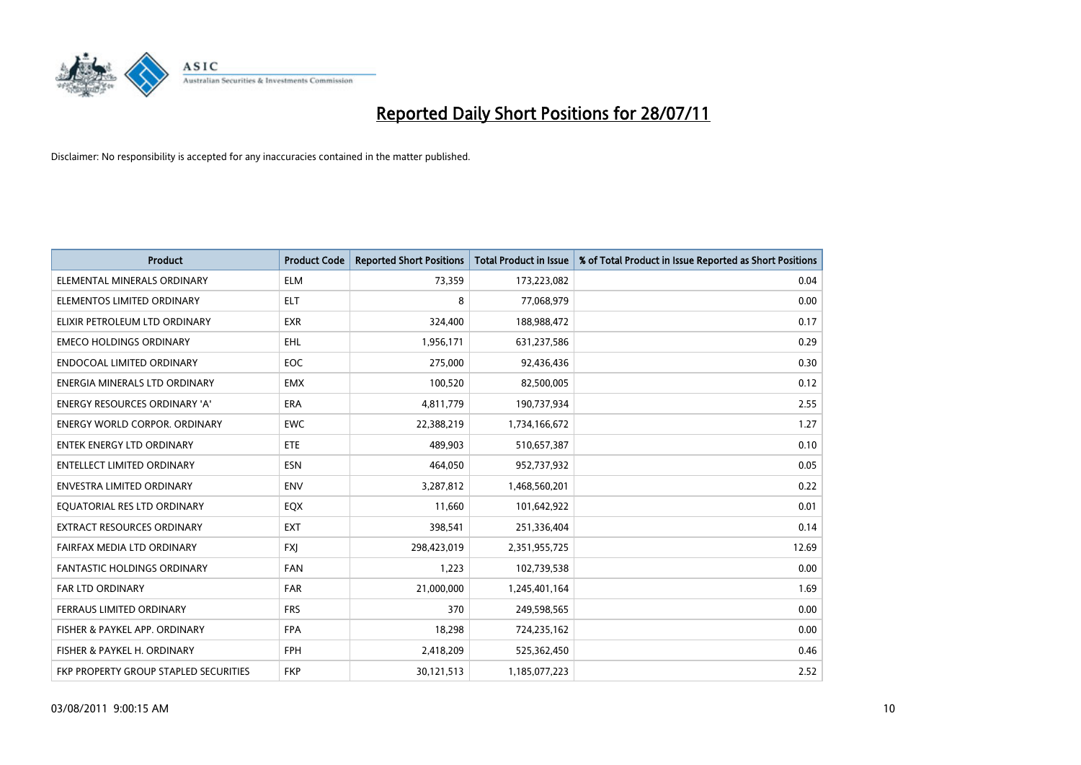

| <b>Product</b>                        | <b>Product Code</b> | <b>Reported Short Positions</b> | <b>Total Product in Issue</b> | % of Total Product in Issue Reported as Short Positions |
|---------------------------------------|---------------------|---------------------------------|-------------------------------|---------------------------------------------------------|
| ELEMENTAL MINERALS ORDINARY           | <b>ELM</b>          | 73,359                          | 173,223,082                   | 0.04                                                    |
| ELEMENTOS LIMITED ORDINARY            | <b>ELT</b>          | 8                               | 77,068,979                    | 0.00                                                    |
| ELIXIR PETROLEUM LTD ORDINARY         | <b>EXR</b>          | 324,400                         | 188,988,472                   | 0.17                                                    |
| <b>EMECO HOLDINGS ORDINARY</b>        | <b>EHL</b>          | 1,956,171                       | 631,237,586                   | 0.29                                                    |
| <b>ENDOCOAL LIMITED ORDINARY</b>      | <b>EOC</b>          | 275,000                         | 92,436,436                    | 0.30                                                    |
| ENERGIA MINERALS LTD ORDINARY         | <b>EMX</b>          | 100,520                         | 82,500,005                    | 0.12                                                    |
| ENERGY RESOURCES ORDINARY 'A'         | <b>ERA</b>          | 4,811,779                       | 190,737,934                   | 2.55                                                    |
| <b>ENERGY WORLD CORPOR. ORDINARY</b>  | <b>EWC</b>          | 22,388,219                      | 1,734,166,672                 | 1.27                                                    |
| <b>ENTEK ENERGY LTD ORDINARY</b>      | <b>ETE</b>          | 489.903                         | 510,657,387                   | 0.10                                                    |
| <b>ENTELLECT LIMITED ORDINARY</b>     | <b>ESN</b>          | 464,050                         | 952,737,932                   | 0.05                                                    |
| <b>ENVESTRA LIMITED ORDINARY</b>      | <b>ENV</b>          | 3,287,812                       | 1,468,560,201                 | 0.22                                                    |
| EQUATORIAL RES LTD ORDINARY           | EQX                 | 11,660                          | 101,642,922                   | 0.01                                                    |
| <b>EXTRACT RESOURCES ORDINARY</b>     | EXT                 | 398,541                         | 251,336,404                   | 0.14                                                    |
| FAIRFAX MEDIA LTD ORDINARY            | <b>FXI</b>          | 298,423,019                     | 2,351,955,725                 | 12.69                                                   |
| <b>FANTASTIC HOLDINGS ORDINARY</b>    | <b>FAN</b>          | 1,223                           | 102,739,538                   | 0.00                                                    |
| FAR LTD ORDINARY                      | <b>FAR</b>          | 21,000,000                      | 1,245,401,164                 | 1.69                                                    |
| FERRAUS LIMITED ORDINARY              | <b>FRS</b>          | 370                             | 249,598,565                   | 0.00                                                    |
| FISHER & PAYKEL APP. ORDINARY         | <b>FPA</b>          | 18,298                          | 724,235,162                   | 0.00                                                    |
| FISHER & PAYKEL H. ORDINARY           | <b>FPH</b>          | 2,418,209                       | 525,362,450                   | 0.46                                                    |
| FKP PROPERTY GROUP STAPLED SECURITIES | <b>FKP</b>          | 30,121,513                      | 1,185,077,223                 | 2.52                                                    |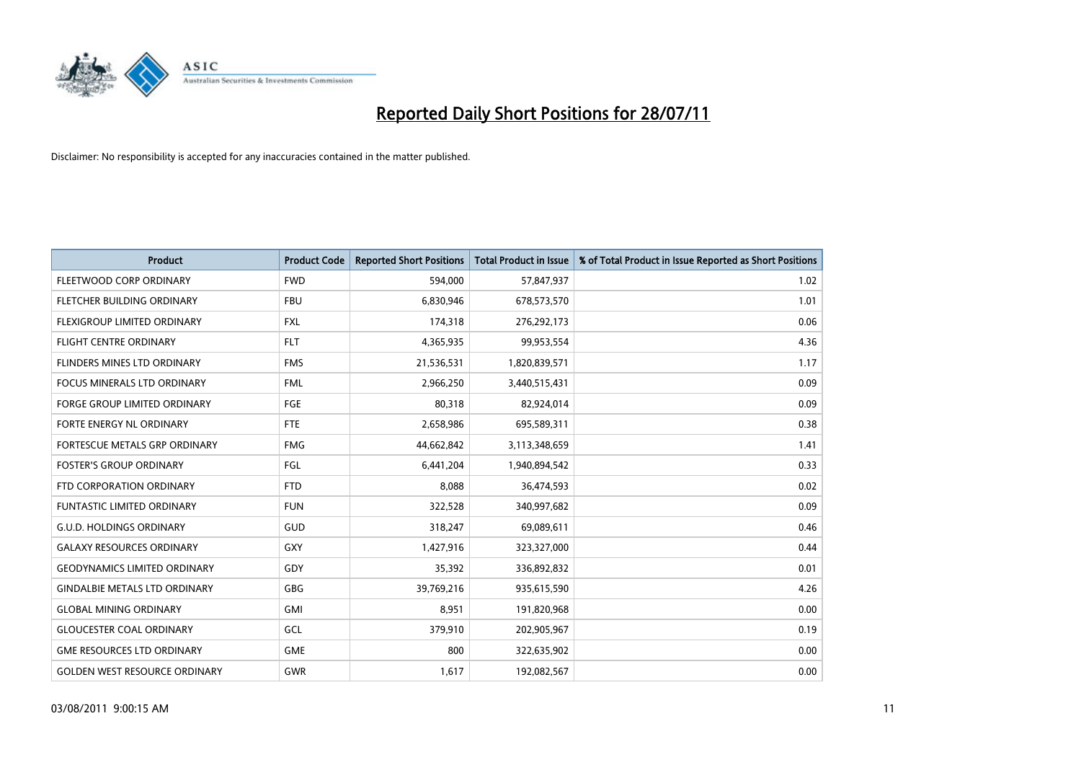

| <b>Product</b>                       | <b>Product Code</b> | <b>Reported Short Positions</b> | Total Product in Issue | % of Total Product in Issue Reported as Short Positions |
|--------------------------------------|---------------------|---------------------------------|------------------------|---------------------------------------------------------|
| FLEETWOOD CORP ORDINARY              | <b>FWD</b>          | 594,000                         | 57,847,937             | 1.02                                                    |
| FLETCHER BUILDING ORDINARY           | <b>FBU</b>          | 6,830,946                       | 678,573,570            | 1.01                                                    |
| FLEXIGROUP LIMITED ORDINARY          | <b>FXL</b>          | 174,318                         | 276,292,173            | 0.06                                                    |
| <b>FLIGHT CENTRE ORDINARY</b>        | <b>FLT</b>          | 4,365,935                       | 99,953,554             | 4.36                                                    |
| <b>FLINDERS MINES LTD ORDINARY</b>   | <b>FMS</b>          | 21,536,531                      | 1,820,839,571          | 1.17                                                    |
| <b>FOCUS MINERALS LTD ORDINARY</b>   | <b>FML</b>          | 2,966,250                       | 3,440,515,431          | 0.09                                                    |
| <b>FORGE GROUP LIMITED ORDINARY</b>  | <b>FGE</b>          | 80,318                          | 82,924,014             | 0.09                                                    |
| FORTE ENERGY NL ORDINARY             | <b>FTE</b>          | 2,658,986                       | 695,589,311            | 0.38                                                    |
| FORTESCUE METALS GRP ORDINARY        | <b>FMG</b>          | 44,662,842                      | 3,113,348,659          | 1.41                                                    |
| <b>FOSTER'S GROUP ORDINARY</b>       | FGL                 | 6,441,204                       | 1,940,894,542          | 0.33                                                    |
| FTD CORPORATION ORDINARY             | <b>FTD</b>          | 8,088                           | 36,474,593             | 0.02                                                    |
| FUNTASTIC LIMITED ORDINARY           | <b>FUN</b>          | 322,528                         | 340,997,682            | 0.09                                                    |
| <b>G.U.D. HOLDINGS ORDINARY</b>      | GUD                 | 318,247                         | 69,089,611             | 0.46                                                    |
| <b>GALAXY RESOURCES ORDINARY</b>     | GXY                 | 1,427,916                       | 323,327,000            | 0.44                                                    |
| <b>GEODYNAMICS LIMITED ORDINARY</b>  | GDY                 | 35,392                          | 336,892,832            | 0.01                                                    |
| <b>GINDALBIE METALS LTD ORDINARY</b> | <b>GBG</b>          | 39,769,216                      | 935,615,590            | 4.26                                                    |
| <b>GLOBAL MINING ORDINARY</b>        | GMI                 | 8,951                           | 191,820,968            | 0.00                                                    |
| <b>GLOUCESTER COAL ORDINARY</b>      | GCL                 | 379,910                         | 202,905,967            | 0.19                                                    |
| <b>GME RESOURCES LTD ORDINARY</b>    | <b>GME</b>          | 800                             | 322,635,902            | 0.00                                                    |
| <b>GOLDEN WEST RESOURCE ORDINARY</b> | <b>GWR</b>          | 1,617                           | 192,082,567            | 0.00                                                    |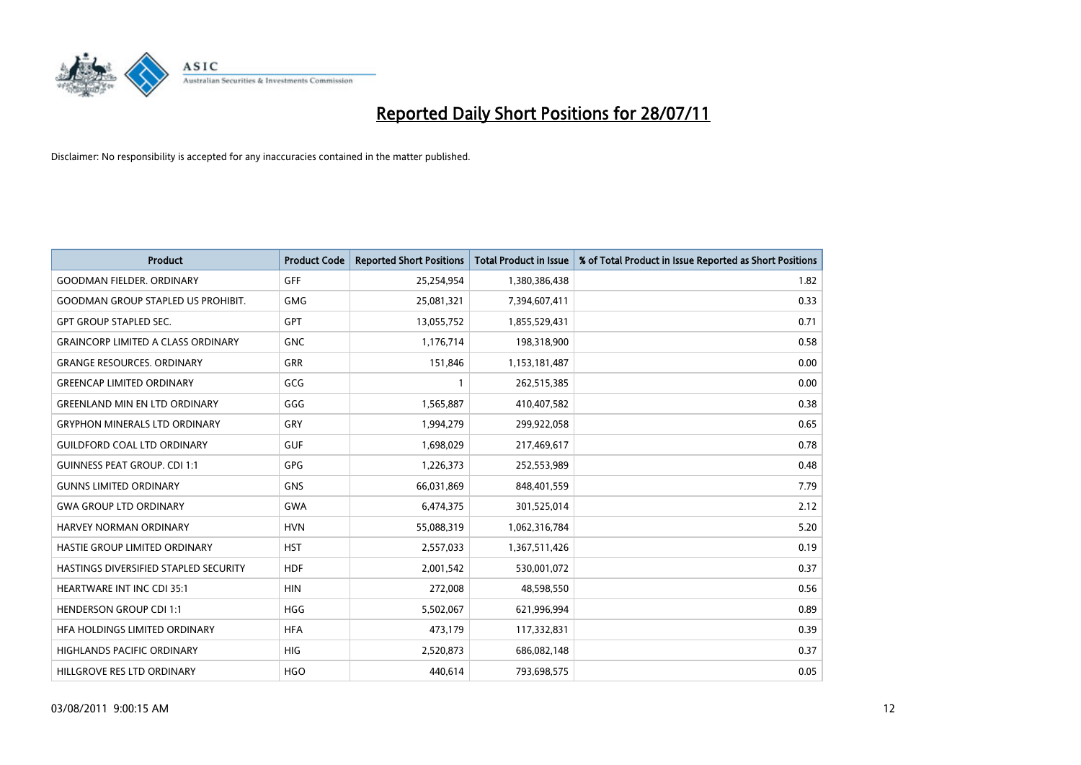

| <b>Product</b>                            | <b>Product Code</b> | <b>Reported Short Positions</b> | <b>Total Product in Issue</b> | % of Total Product in Issue Reported as Short Positions |
|-------------------------------------------|---------------------|---------------------------------|-------------------------------|---------------------------------------------------------|
| <b>GOODMAN FIELDER, ORDINARY</b>          | <b>GFF</b>          | 25,254,954                      | 1,380,386,438                 | 1.82                                                    |
| <b>GOODMAN GROUP STAPLED US PROHIBIT.</b> | <b>GMG</b>          | 25,081,321                      | 7,394,607,411                 | 0.33                                                    |
| <b>GPT GROUP STAPLED SEC.</b>             | GPT                 | 13,055,752                      | 1,855,529,431                 | 0.71                                                    |
| <b>GRAINCORP LIMITED A CLASS ORDINARY</b> | <b>GNC</b>          | 1,176,714                       | 198,318,900                   | 0.58                                                    |
| <b>GRANGE RESOURCES, ORDINARY</b>         | <b>GRR</b>          | 151,846                         | 1,153,181,487                 | 0.00                                                    |
| <b>GREENCAP LIMITED ORDINARY</b>          | GCG                 |                                 | 262,515,385                   | 0.00                                                    |
| <b>GREENLAND MIN EN LTD ORDINARY</b>      | GGG                 | 1,565,887                       | 410,407,582                   | 0.38                                                    |
| <b>GRYPHON MINERALS LTD ORDINARY</b>      | GRY                 | 1,994,279                       | 299,922,058                   | 0.65                                                    |
| <b>GUILDFORD COAL LTD ORDINARY</b>        | <b>GUF</b>          | 1,698,029                       | 217,469,617                   | 0.78                                                    |
| <b>GUINNESS PEAT GROUP. CDI 1:1</b>       | GPG                 | 1,226,373                       | 252,553,989                   | 0.48                                                    |
| <b>GUNNS LIMITED ORDINARY</b>             | <b>GNS</b>          | 66,031,869                      | 848,401,559                   | 7.79                                                    |
| <b>GWA GROUP LTD ORDINARY</b>             | <b>GWA</b>          | 6,474,375                       | 301,525,014                   | 2.12                                                    |
| HARVEY NORMAN ORDINARY                    | <b>HVN</b>          | 55,088,319                      | 1,062,316,784                 | 5.20                                                    |
| HASTIE GROUP LIMITED ORDINARY             | <b>HST</b>          | 2,557,033                       | 1,367,511,426                 | 0.19                                                    |
| HASTINGS DIVERSIFIED STAPLED SECURITY     | <b>HDF</b>          | 2,001,542                       | 530,001,072                   | 0.37                                                    |
| <b>HEARTWARE INT INC CDI 35:1</b>         | <b>HIN</b>          | 272,008                         | 48,598,550                    | 0.56                                                    |
| <b>HENDERSON GROUP CDI 1:1</b>            | <b>HGG</b>          | 5,502,067                       | 621,996,994                   | 0.89                                                    |
| HFA HOLDINGS LIMITED ORDINARY             | <b>HFA</b>          | 473,179                         | 117,332,831                   | 0.39                                                    |
| <b>HIGHLANDS PACIFIC ORDINARY</b>         | <b>HIG</b>          | 2,520,873                       | 686,082,148                   | 0.37                                                    |
| HILLGROVE RES LTD ORDINARY                | <b>HGO</b>          | 440.614                         | 793,698,575                   | 0.05                                                    |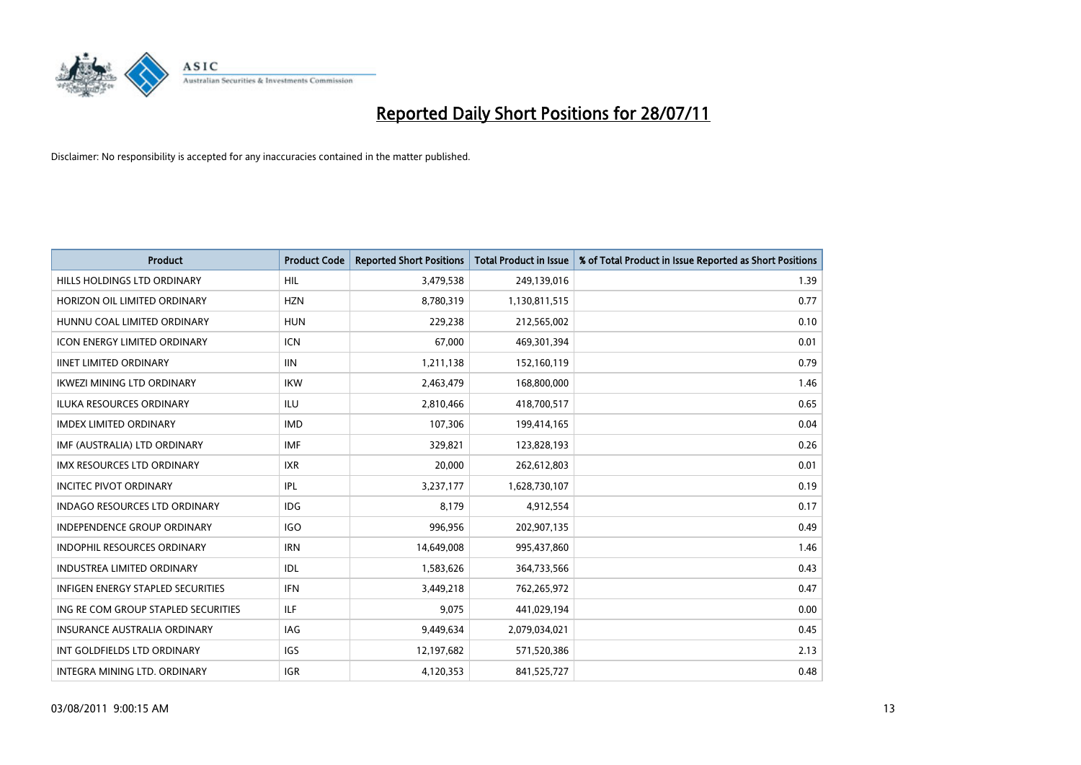

| <b>Product</b>                           | <b>Product Code</b> | <b>Reported Short Positions</b> | <b>Total Product in Issue</b> | % of Total Product in Issue Reported as Short Positions |
|------------------------------------------|---------------------|---------------------------------|-------------------------------|---------------------------------------------------------|
| HILLS HOLDINGS LTD ORDINARY              | <b>HIL</b>          | 3,479,538                       | 249,139,016                   | 1.39                                                    |
| HORIZON OIL LIMITED ORDINARY             | <b>HZN</b>          | 8,780,319                       | 1,130,811,515                 | 0.77                                                    |
| HUNNU COAL LIMITED ORDINARY              | <b>HUN</b>          | 229,238                         | 212,565,002                   | 0.10                                                    |
| <b>ICON ENERGY LIMITED ORDINARY</b>      | <b>ICN</b>          | 67,000                          | 469,301,394                   | 0.01                                                    |
| <b>IINET LIMITED ORDINARY</b>            | <b>IIN</b>          | 1,211,138                       | 152,160,119                   | 0.79                                                    |
| <b>IKWEZI MINING LTD ORDINARY</b>        | <b>IKW</b>          | 2,463,479                       | 168,800,000                   | 1.46                                                    |
| <b>ILUKA RESOURCES ORDINARY</b>          | <b>ILU</b>          | 2,810,466                       | 418,700,517                   | 0.65                                                    |
| <b>IMDEX LIMITED ORDINARY</b>            | <b>IMD</b>          | 107,306                         | 199,414,165                   | 0.04                                                    |
| IMF (AUSTRALIA) LTD ORDINARY             | <b>IMF</b>          | 329,821                         | 123,828,193                   | 0.26                                                    |
| <b>IMX RESOURCES LTD ORDINARY</b>        | <b>IXR</b>          | 20,000                          | 262,612,803                   | 0.01                                                    |
| <b>INCITEC PIVOT ORDINARY</b>            | IPL                 | 3,237,177                       | 1,628,730,107                 | 0.19                                                    |
| <b>INDAGO RESOURCES LTD ORDINARY</b>     | <b>IDG</b>          | 8,179                           | 4,912,554                     | 0.17                                                    |
| <b>INDEPENDENCE GROUP ORDINARY</b>       | <b>IGO</b>          | 996,956                         | 202,907,135                   | 0.49                                                    |
| <b>INDOPHIL RESOURCES ORDINARY</b>       | <b>IRN</b>          | 14,649,008                      | 995,437,860                   | 1.46                                                    |
| <b>INDUSTREA LIMITED ORDINARY</b>        | IDL                 | 1,583,626                       | 364,733,566                   | 0.43                                                    |
| <b>INFIGEN ENERGY STAPLED SECURITIES</b> | <b>IFN</b>          | 3,449,218                       | 762,265,972                   | 0.47                                                    |
| ING RE COM GROUP STAPLED SECURITIES      | ILF                 | 9,075                           | 441,029,194                   | 0.00                                                    |
| INSURANCE AUSTRALIA ORDINARY             | <b>IAG</b>          | 9,449,634                       | 2,079,034,021                 | 0.45                                                    |
| INT GOLDFIELDS LTD ORDINARY              | <b>IGS</b>          | 12,197,682                      | 571,520,386                   | 2.13                                                    |
| INTEGRA MINING LTD, ORDINARY             | <b>IGR</b>          | 4,120,353                       | 841,525,727                   | 0.48                                                    |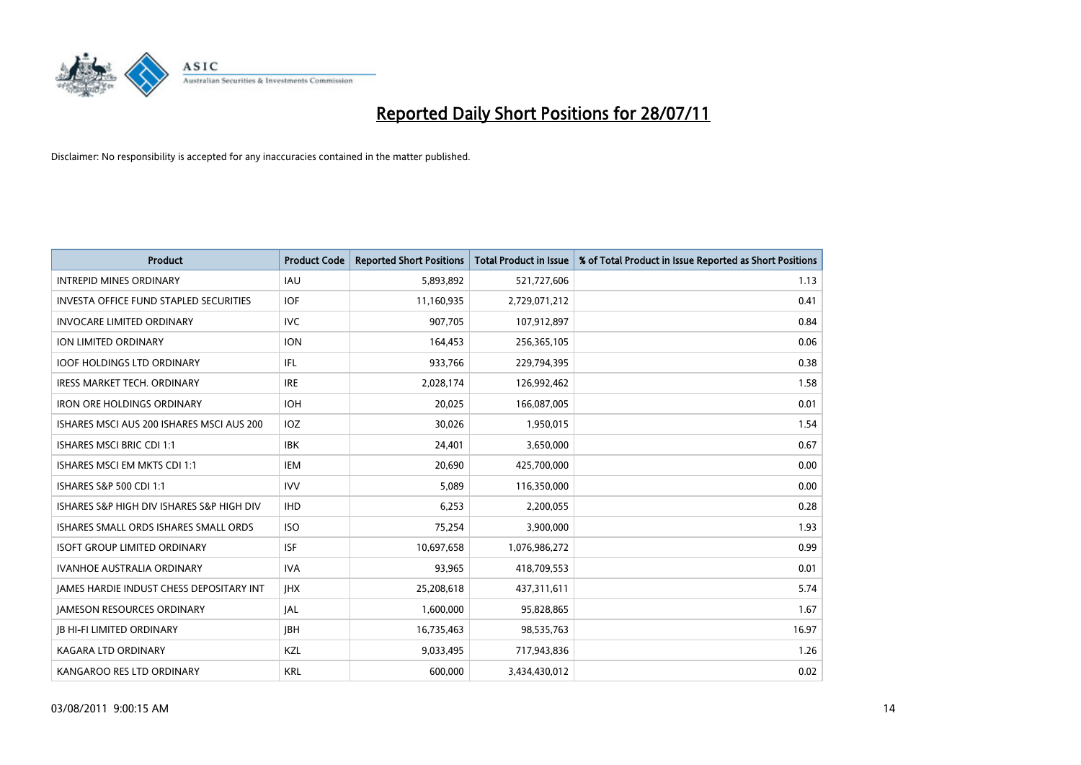

| <b>Product</b>                                  | <b>Product Code</b> | <b>Reported Short Positions</b> | <b>Total Product in Issue</b> | % of Total Product in Issue Reported as Short Positions |
|-------------------------------------------------|---------------------|---------------------------------|-------------------------------|---------------------------------------------------------|
| <b>INTREPID MINES ORDINARY</b>                  | <b>IAU</b>          | 5,893,892                       | 521,727,606                   | 1.13                                                    |
| <b>INVESTA OFFICE FUND STAPLED SECURITIES</b>   | <b>IOF</b>          | 11,160,935                      | 2,729,071,212                 | 0.41                                                    |
| INVOCARE LIMITED ORDINARY                       | <b>IVC</b>          | 907,705                         | 107,912,897                   | 0.84                                                    |
| ION LIMITED ORDINARY                            | <b>ION</b>          | 164,453                         | 256,365,105                   | 0.06                                                    |
| <b>IOOF HOLDINGS LTD ORDINARY</b>               | IFL.                | 933,766                         | 229,794,395                   | 0.38                                                    |
| <b>IRESS MARKET TECH. ORDINARY</b>              | <b>IRE</b>          | 2,028,174                       | 126,992,462                   | 1.58                                                    |
| <b>IRON ORE HOLDINGS ORDINARY</b>               | <b>IOH</b>          | 20.025                          | 166,087,005                   | 0.01                                                    |
| ISHARES MSCI AUS 200 ISHARES MSCI AUS 200       | IOZ                 | 30,026                          | 1,950,015                     | 1.54                                                    |
| <b>ISHARES MSCI BRIC CDI 1:1</b>                | <b>IBK</b>          | 24,401                          | 3,650,000                     | 0.67                                                    |
| ISHARES MSCI EM MKTS CDI 1:1                    | <b>IEM</b>          | 20.690                          | 425,700,000                   | 0.00                                                    |
| ISHARES S&P 500 CDI 1:1                         | <b>IVV</b>          | 5,089                           | 116,350,000                   | 0.00                                                    |
| ISHARES S&P HIGH DIV ISHARES S&P HIGH DIV       | <b>IHD</b>          | 6,253                           | 2,200,055                     | 0.28                                                    |
| ISHARES SMALL ORDS ISHARES SMALL ORDS           | <b>ISO</b>          | 75,254                          | 3,900,000                     | 1.93                                                    |
| <b>ISOFT GROUP LIMITED ORDINARY</b>             | <b>ISF</b>          | 10,697,658                      | 1,076,986,272                 | 0.99                                                    |
| <b>IVANHOE AUSTRALIA ORDINARY</b>               | <b>IVA</b>          | 93,965                          | 418,709,553                   | 0.01                                                    |
| <b>JAMES HARDIE INDUST CHESS DEPOSITARY INT</b> | <b>IHX</b>          | 25,208,618                      | 437,311,611                   | 5.74                                                    |
| <b>JAMESON RESOURCES ORDINARY</b>               | <b>JAL</b>          | 1,600,000                       | 95,828,865                    | 1.67                                                    |
| <b>JB HI-FI LIMITED ORDINARY</b>                | <b>IBH</b>          | 16,735,463                      | 98,535,763                    | 16.97                                                   |
| <b>KAGARA LTD ORDINARY</b>                      | KZL                 | 9,033,495                       | 717,943,836                   | 1.26                                                    |
| KANGAROO RES LTD ORDINARY                       | <b>KRL</b>          | 600.000                         | 3,434,430,012                 | 0.02                                                    |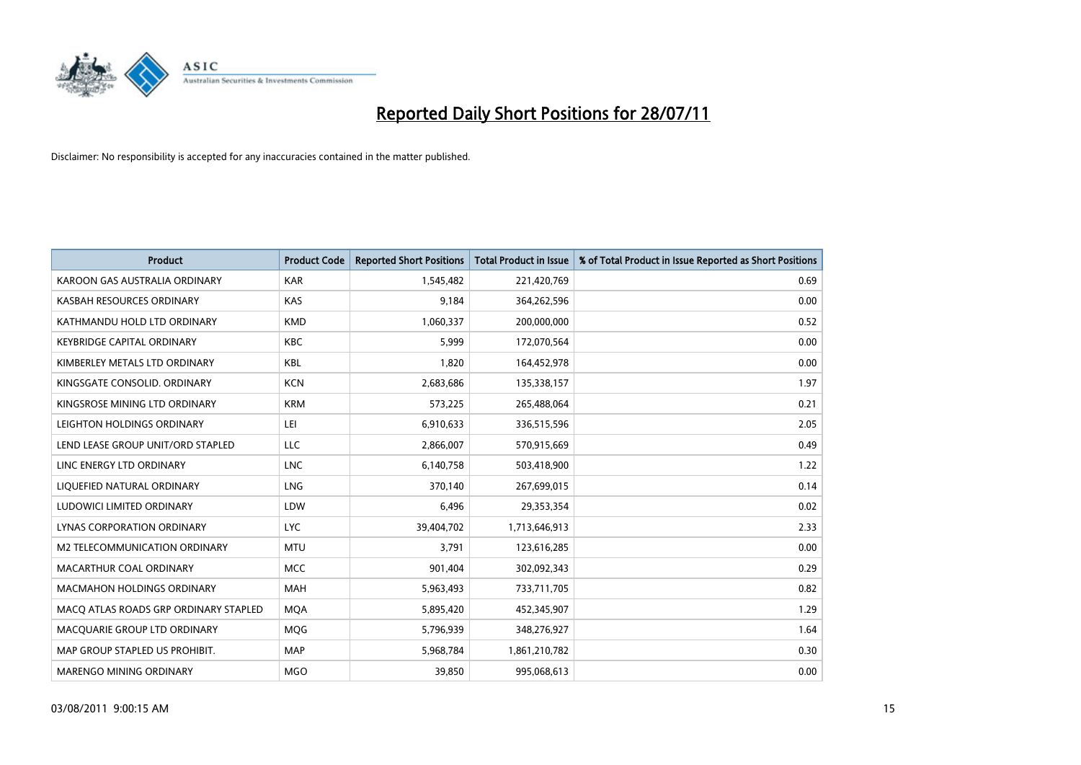

| <b>Product</b>                        | <b>Product Code</b> | <b>Reported Short Positions</b> | <b>Total Product in Issue</b> | % of Total Product in Issue Reported as Short Positions |
|---------------------------------------|---------------------|---------------------------------|-------------------------------|---------------------------------------------------------|
| KAROON GAS AUSTRALIA ORDINARY         | <b>KAR</b>          | 1,545,482                       | 221,420,769                   | 0.69                                                    |
| KASBAH RESOURCES ORDINARY             | KAS                 | 9.184                           | 364,262,596                   | 0.00                                                    |
| KATHMANDU HOLD LTD ORDINARY           | <b>KMD</b>          | 1,060,337                       | 200,000,000                   | 0.52                                                    |
| <b>KEYBRIDGE CAPITAL ORDINARY</b>     | <b>KBC</b>          | 5,999                           | 172,070,564                   | 0.00                                                    |
| KIMBERLEY METALS LTD ORDINARY         | <b>KBL</b>          | 1,820                           | 164,452,978                   | 0.00                                                    |
| KINGSGATE CONSOLID, ORDINARY          | <b>KCN</b>          | 2,683,686                       | 135,338,157                   | 1.97                                                    |
| KINGSROSE MINING LTD ORDINARY         | <b>KRM</b>          | 573,225                         | 265,488,064                   | 0.21                                                    |
| LEIGHTON HOLDINGS ORDINARY            | LEI                 | 6,910,633                       | 336,515,596                   | 2.05                                                    |
| LEND LEASE GROUP UNIT/ORD STAPLED     | LLC                 | 2,866,007                       | 570,915,669                   | 0.49                                                    |
| LINC ENERGY LTD ORDINARY              | <b>LNC</b>          | 6,140,758                       | 503,418,900                   | 1.22                                                    |
| LIQUEFIED NATURAL ORDINARY            | <b>LNG</b>          | 370,140                         | 267,699,015                   | 0.14                                                    |
| LUDOWICI LIMITED ORDINARY             | LDW                 | 6,496                           | 29,353,354                    | 0.02                                                    |
| LYNAS CORPORATION ORDINARY            | <b>LYC</b>          | 39,404,702                      | 1,713,646,913                 | 2.33                                                    |
| <b>M2 TELECOMMUNICATION ORDINARY</b>  | <b>MTU</b>          | 3.791                           | 123,616,285                   | 0.00                                                    |
| MACARTHUR COAL ORDINARY               | MCC                 | 901,404                         | 302,092,343                   | 0.29                                                    |
| <b>MACMAHON HOLDINGS ORDINARY</b>     | <b>MAH</b>          | 5,963,493                       | 733,711,705                   | 0.82                                                    |
| MACO ATLAS ROADS GRP ORDINARY STAPLED | <b>MQA</b>          | 5,895,420                       | 452,345,907                   | 1.29                                                    |
| MACQUARIE GROUP LTD ORDINARY          | <b>MOG</b>          | 5,796,939                       | 348,276,927                   | 1.64                                                    |
| MAP GROUP STAPLED US PROHIBIT.        | <b>MAP</b>          | 5,968,784                       | 1,861,210,782                 | 0.30                                                    |
| <b>MARENGO MINING ORDINARY</b>        | <b>MGO</b>          | 39.850                          | 995,068,613                   | 0.00                                                    |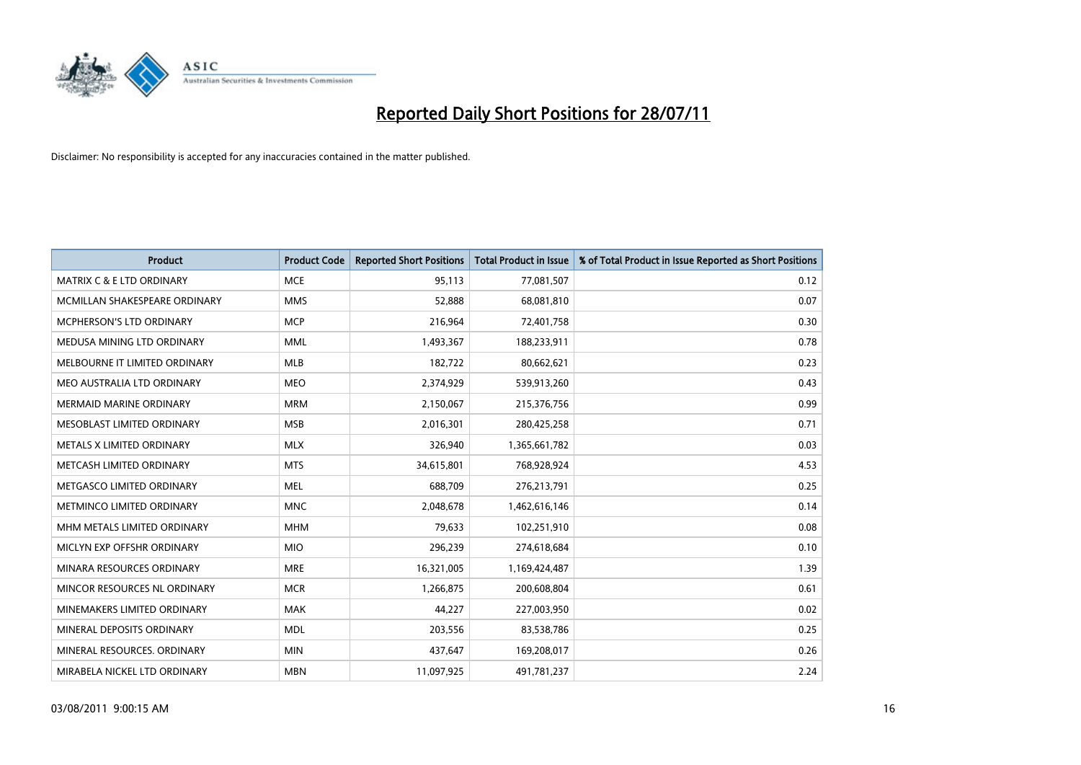

| <b>Product</b>                       | <b>Product Code</b> | <b>Reported Short Positions</b> | <b>Total Product in Issue</b> | % of Total Product in Issue Reported as Short Positions |
|--------------------------------------|---------------------|---------------------------------|-------------------------------|---------------------------------------------------------|
| <b>MATRIX C &amp; E LTD ORDINARY</b> | <b>MCE</b>          | 95,113                          | 77,081,507                    | 0.12                                                    |
| MCMILLAN SHAKESPEARE ORDINARY        | <b>MMS</b>          | 52,888                          | 68,081,810                    | 0.07                                                    |
| <b>MCPHERSON'S LTD ORDINARY</b>      | <b>MCP</b>          | 216,964                         | 72,401,758                    | 0.30                                                    |
| MEDUSA MINING LTD ORDINARY           | <b>MML</b>          | 1,493,367                       | 188,233,911                   | 0.78                                                    |
| MELBOURNE IT LIMITED ORDINARY        | MLB                 | 182,722                         | 80,662,621                    | 0.23                                                    |
| MEO AUSTRALIA LTD ORDINARY           | <b>MEO</b>          | 2,374,929                       | 539,913,260                   | 0.43                                                    |
| <b>MERMAID MARINE ORDINARY</b>       | <b>MRM</b>          | 2,150,067                       | 215,376,756                   | 0.99                                                    |
| MESOBLAST LIMITED ORDINARY           | <b>MSB</b>          | 2,016,301                       | 280,425,258                   | 0.71                                                    |
| METALS X LIMITED ORDINARY            | <b>MLX</b>          | 326,940                         | 1,365,661,782                 | 0.03                                                    |
| METCASH LIMITED ORDINARY             | <b>MTS</b>          | 34,615,801                      | 768,928,924                   | 4.53                                                    |
| METGASCO LIMITED ORDINARY            | <b>MEL</b>          | 688,709                         | 276,213,791                   | 0.25                                                    |
| METMINCO LIMITED ORDINARY            | <b>MNC</b>          | 2,048,678                       | 1,462,616,146                 | 0.14                                                    |
| MHM METALS LIMITED ORDINARY          | <b>MHM</b>          | 79,633                          | 102,251,910                   | 0.08                                                    |
| MICLYN EXP OFFSHR ORDINARY           | <b>MIO</b>          | 296,239                         | 274,618,684                   | 0.10                                                    |
| MINARA RESOURCES ORDINARY            | <b>MRE</b>          | 16,321,005                      | 1,169,424,487                 | 1.39                                                    |
| MINCOR RESOURCES NL ORDINARY         | <b>MCR</b>          | 1,266,875                       | 200,608,804                   | 0.61                                                    |
| MINEMAKERS LIMITED ORDINARY          | <b>MAK</b>          | 44,227                          | 227,003,950                   | 0.02                                                    |
| MINERAL DEPOSITS ORDINARY            | <b>MDL</b>          | 203,556                         | 83,538,786                    | 0.25                                                    |
| MINERAL RESOURCES, ORDINARY          | <b>MIN</b>          | 437,647                         | 169,208,017                   | 0.26                                                    |
| MIRABELA NICKEL LTD ORDINARY         | <b>MBN</b>          | 11,097,925                      | 491,781,237                   | 2.24                                                    |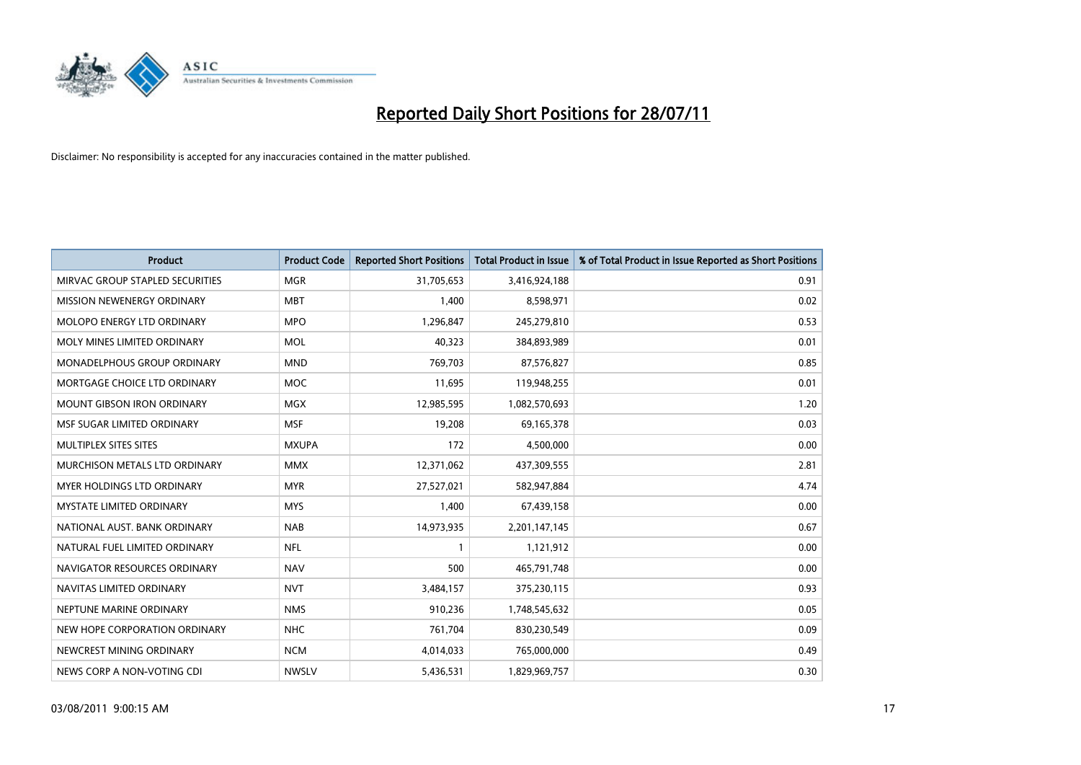

| <b>Product</b>                    | <b>Product Code</b> | <b>Reported Short Positions</b> | <b>Total Product in Issue</b> | % of Total Product in Issue Reported as Short Positions |
|-----------------------------------|---------------------|---------------------------------|-------------------------------|---------------------------------------------------------|
| MIRVAC GROUP STAPLED SECURITIES   | <b>MGR</b>          | 31,705,653                      | 3,416,924,188                 | 0.91                                                    |
| MISSION NEWENERGY ORDINARY        | <b>MBT</b>          | 1,400                           | 8,598,971                     | 0.02                                                    |
| MOLOPO ENERGY LTD ORDINARY        | <b>MPO</b>          | 1,296,847                       | 245,279,810                   | 0.53                                                    |
| MOLY MINES LIMITED ORDINARY       | <b>MOL</b>          | 40,323                          | 384,893,989                   | 0.01                                                    |
| MONADELPHOUS GROUP ORDINARY       | <b>MND</b>          | 769,703                         | 87,576,827                    | 0.85                                                    |
| MORTGAGE CHOICE LTD ORDINARY      | <b>MOC</b>          | 11,695                          | 119,948,255                   | 0.01                                                    |
| <b>MOUNT GIBSON IRON ORDINARY</b> | <b>MGX</b>          | 12,985,595                      | 1,082,570,693                 | 1.20                                                    |
| MSF SUGAR LIMITED ORDINARY        | <b>MSF</b>          | 19,208                          | 69,165,378                    | 0.03                                                    |
| MULTIPLEX SITES SITES             | <b>MXUPA</b>        | 172                             | 4,500,000                     | 0.00                                                    |
| MURCHISON METALS LTD ORDINARY     | <b>MMX</b>          | 12,371,062                      | 437,309,555                   | 2.81                                                    |
| MYER HOLDINGS LTD ORDINARY        | <b>MYR</b>          | 27,527,021                      | 582,947,884                   | 4.74                                                    |
| <b>MYSTATE LIMITED ORDINARY</b>   | <b>MYS</b>          | 1,400                           | 67,439,158                    | 0.00                                                    |
| NATIONAL AUST. BANK ORDINARY      | <b>NAB</b>          | 14,973,935                      | 2,201,147,145                 | 0.67                                                    |
| NATURAL FUEL LIMITED ORDINARY     | <b>NFL</b>          |                                 | 1,121,912                     | 0.00                                                    |
| NAVIGATOR RESOURCES ORDINARY      | <b>NAV</b>          | 500                             | 465,791,748                   | 0.00                                                    |
| NAVITAS LIMITED ORDINARY          | <b>NVT</b>          | 3,484,157                       | 375,230,115                   | 0.93                                                    |
| NEPTUNE MARINE ORDINARY           | <b>NMS</b>          | 910,236                         | 1,748,545,632                 | 0.05                                                    |
| NEW HOPE CORPORATION ORDINARY     | <b>NHC</b>          | 761,704                         | 830,230,549                   | 0.09                                                    |
| NEWCREST MINING ORDINARY          | <b>NCM</b>          | 4,014,033                       | 765,000,000                   | 0.49                                                    |
| NEWS CORP A NON-VOTING CDI        | <b>NWSLV</b>        | 5,436,531                       | 1,829,969,757                 | 0.30                                                    |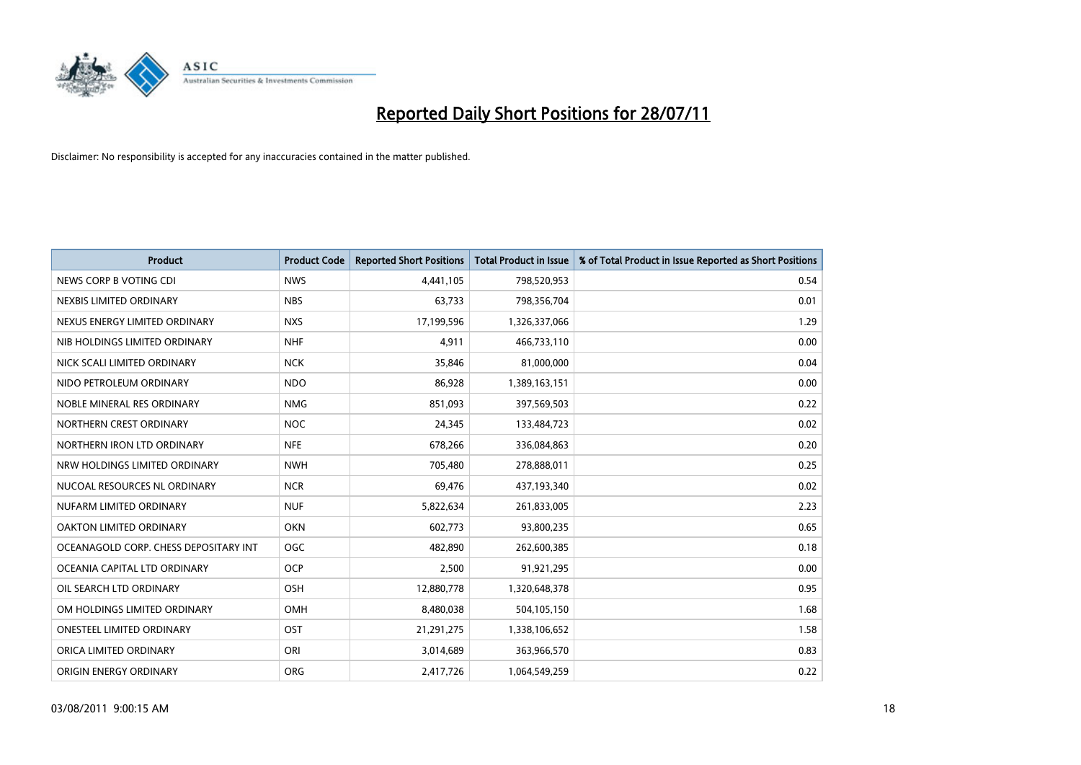

| <b>Product</b>                        | <b>Product Code</b> | <b>Reported Short Positions</b> | <b>Total Product in Issue</b> | % of Total Product in Issue Reported as Short Positions |
|---------------------------------------|---------------------|---------------------------------|-------------------------------|---------------------------------------------------------|
| NEWS CORP B VOTING CDI                | <b>NWS</b>          | 4,441,105                       | 798,520,953                   | 0.54                                                    |
| NEXBIS LIMITED ORDINARY               | <b>NBS</b>          | 63,733                          | 798,356,704                   | 0.01                                                    |
| NEXUS ENERGY LIMITED ORDINARY         | <b>NXS</b>          | 17,199,596                      | 1,326,337,066                 | 1.29                                                    |
| NIB HOLDINGS LIMITED ORDINARY         | <b>NHF</b>          | 4,911                           | 466,733,110                   | 0.00                                                    |
| NICK SCALI LIMITED ORDINARY           | <b>NCK</b>          | 35,846                          | 81,000,000                    | 0.04                                                    |
| NIDO PETROLEUM ORDINARY               | <b>NDO</b>          | 86,928                          | 1,389,163,151                 | 0.00                                                    |
| NOBLE MINERAL RES ORDINARY            | <b>NMG</b>          | 851,093                         | 397,569,503                   | 0.22                                                    |
| NORTHERN CREST ORDINARY               | <b>NOC</b>          | 24,345                          | 133,484,723                   | 0.02                                                    |
| NORTHERN IRON LTD ORDINARY            | <b>NFE</b>          | 678,266                         | 336,084,863                   | 0.20                                                    |
| NRW HOLDINGS LIMITED ORDINARY         | <b>NWH</b>          | 705,480                         | 278,888,011                   | 0.25                                                    |
| NUCOAL RESOURCES NL ORDINARY          | <b>NCR</b>          | 69,476                          | 437,193,340                   | 0.02                                                    |
| NUFARM LIMITED ORDINARY               | <b>NUF</b>          | 5,822,634                       | 261,833,005                   | 2.23                                                    |
| OAKTON LIMITED ORDINARY               | <b>OKN</b>          | 602,773                         | 93,800,235                    | 0.65                                                    |
| OCEANAGOLD CORP. CHESS DEPOSITARY INT | <b>OGC</b>          | 482.890                         | 262,600,385                   | 0.18                                                    |
| OCEANIA CAPITAL LTD ORDINARY          | <b>OCP</b>          | 2,500                           | 91,921,295                    | 0.00                                                    |
| OIL SEARCH LTD ORDINARY               | <b>OSH</b>          | 12,880,778                      | 1,320,648,378                 | 0.95                                                    |
| OM HOLDINGS LIMITED ORDINARY          | <b>OMH</b>          | 8,480,038                       | 504,105,150                   | 1.68                                                    |
| ONESTEEL LIMITED ORDINARY             | OST                 | 21,291,275                      | 1,338,106,652                 | 1.58                                                    |
| ORICA LIMITED ORDINARY                | ORI                 | 3,014,689                       | 363,966,570                   | 0.83                                                    |
| ORIGIN ENERGY ORDINARY                | <b>ORG</b>          | 2,417,726                       | 1,064,549,259                 | 0.22                                                    |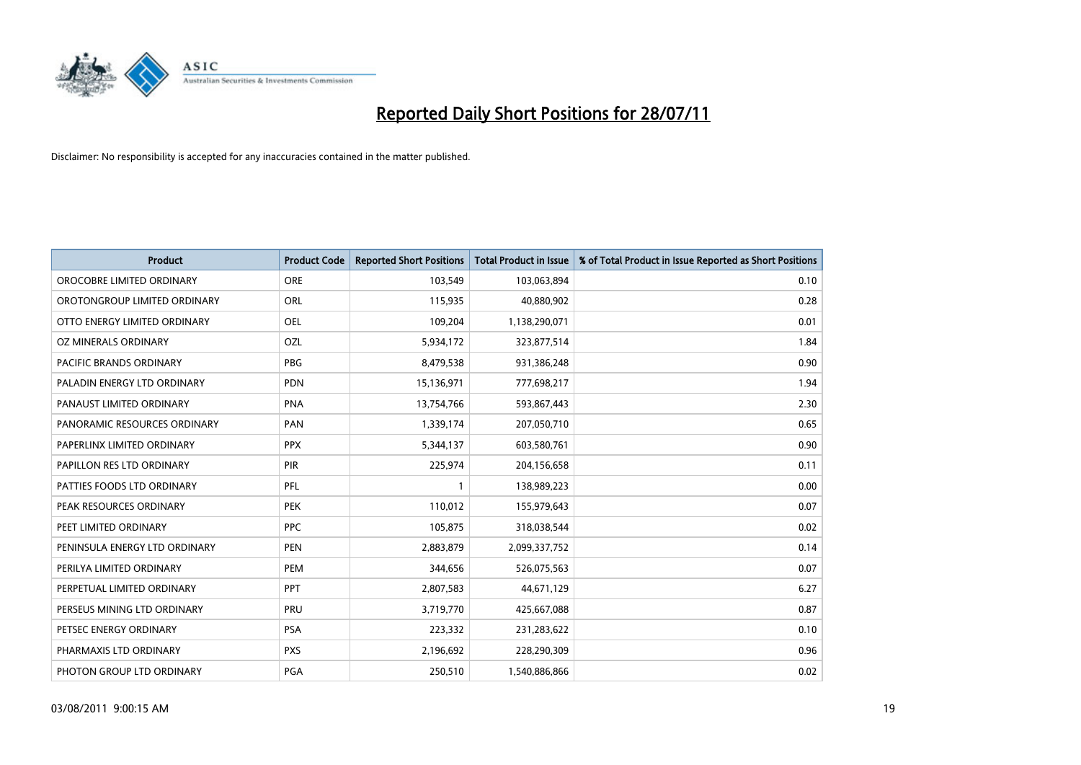

| <b>Product</b>                 | <b>Product Code</b> | <b>Reported Short Positions</b> | Total Product in Issue | % of Total Product in Issue Reported as Short Positions |
|--------------------------------|---------------------|---------------------------------|------------------------|---------------------------------------------------------|
| OROCOBRE LIMITED ORDINARY      | <b>ORE</b>          | 103,549                         | 103,063,894            | 0.10                                                    |
| OROTONGROUP LIMITED ORDINARY   | ORL                 | 115,935                         | 40,880,902             | 0.28                                                    |
| OTTO ENERGY LIMITED ORDINARY   | <b>OEL</b>          | 109,204                         | 1,138,290,071          | 0.01                                                    |
| OZ MINERALS ORDINARY           | OZL                 | 5,934,172                       | 323,877,514            | 1.84                                                    |
| <b>PACIFIC BRANDS ORDINARY</b> | <b>PBG</b>          | 8,479,538                       | 931,386,248            | 0.90                                                    |
| PALADIN ENERGY LTD ORDINARY    | <b>PDN</b>          | 15,136,971                      | 777,698,217            | 1.94                                                    |
| PANAUST LIMITED ORDINARY       | <b>PNA</b>          | 13,754,766                      | 593,867,443            | 2.30                                                    |
| PANORAMIC RESOURCES ORDINARY   | PAN                 | 1,339,174                       | 207,050,710            | 0.65                                                    |
| PAPERLINX LIMITED ORDINARY     | <b>PPX</b>          | 5,344,137                       | 603,580,761            | 0.90                                                    |
| PAPILLON RES LTD ORDINARY      | PIR                 | 225,974                         | 204,156,658            | 0.11                                                    |
| PATTIES FOODS LTD ORDINARY     | PFL                 |                                 | 138,989,223            | 0.00                                                    |
| PEAK RESOURCES ORDINARY        | <b>PEK</b>          | 110,012                         | 155,979,643            | 0.07                                                    |
| PEET LIMITED ORDINARY          | <b>PPC</b>          | 105,875                         | 318,038,544            | 0.02                                                    |
| PENINSULA ENERGY LTD ORDINARY  | <b>PEN</b>          | 2,883,879                       | 2,099,337,752          | 0.14                                                    |
| PERILYA LIMITED ORDINARY       | PEM                 | 344,656                         | 526,075,563            | 0.07                                                    |
| PERPETUAL LIMITED ORDINARY     | PPT                 | 2,807,583                       | 44,671,129             | 6.27                                                    |
| PERSEUS MINING LTD ORDINARY    | PRU                 | 3,719,770                       | 425,667,088            | 0.87                                                    |
| PETSEC ENERGY ORDINARY         | <b>PSA</b>          | 223,332                         | 231,283,622            | 0.10                                                    |
| PHARMAXIS LTD ORDINARY         | <b>PXS</b>          | 2,196,692                       | 228,290,309            | 0.96                                                    |
| PHOTON GROUP LTD ORDINARY      | <b>PGA</b>          | 250,510                         | 1,540,886,866          | 0.02                                                    |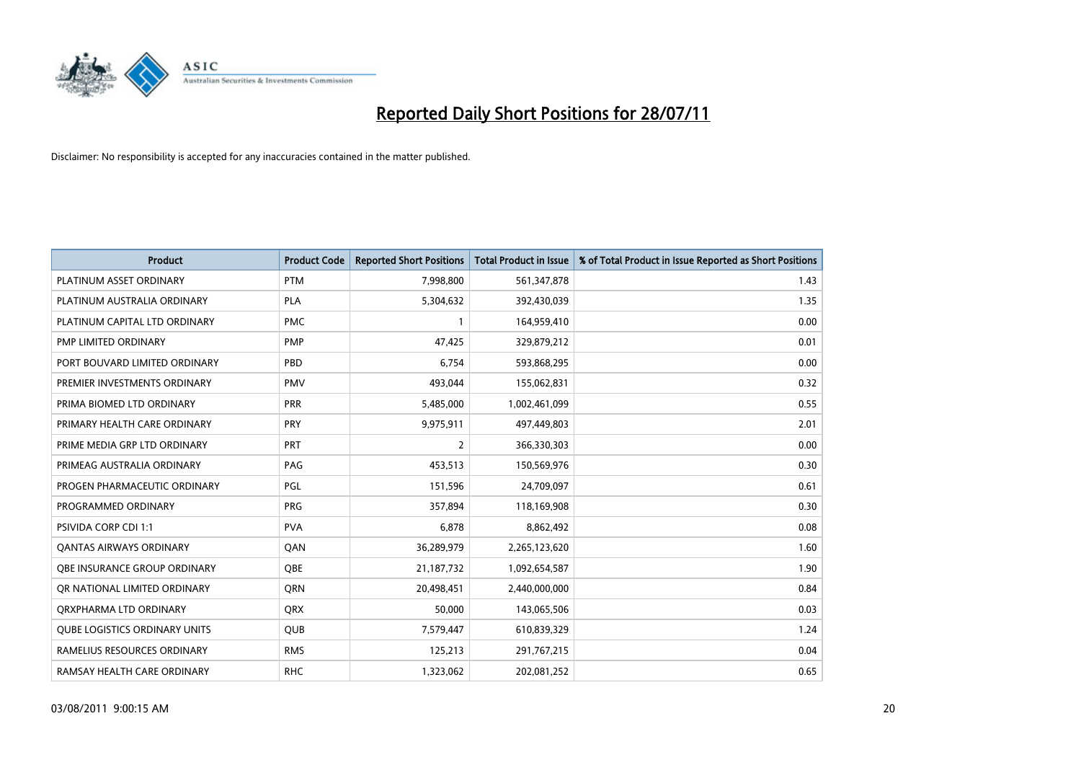

| <b>Product</b>                       | <b>Product Code</b> | <b>Reported Short Positions</b> | Total Product in Issue | % of Total Product in Issue Reported as Short Positions |
|--------------------------------------|---------------------|---------------------------------|------------------------|---------------------------------------------------------|
| PLATINUM ASSET ORDINARY              | <b>PTM</b>          | 7,998,800                       | 561,347,878            | 1.43                                                    |
| PLATINUM AUSTRALIA ORDINARY          | <b>PLA</b>          | 5,304,632                       | 392,430,039            | 1.35                                                    |
| PLATINUM CAPITAL LTD ORDINARY        | <b>PMC</b>          |                                 | 164,959,410            | 0.00                                                    |
| PMP LIMITED ORDINARY                 | PMP                 | 47,425                          | 329,879,212            | 0.01                                                    |
| PORT BOUVARD LIMITED ORDINARY        | PBD                 | 6,754                           | 593,868,295            | 0.00                                                    |
| PREMIER INVESTMENTS ORDINARY         | <b>PMV</b>          | 493.044                         | 155,062,831            | 0.32                                                    |
| PRIMA BIOMED LTD ORDINARY            | <b>PRR</b>          | 5,485,000                       | 1,002,461,099          | 0.55                                                    |
| PRIMARY HEALTH CARE ORDINARY         | PRY                 | 9,975,911                       | 497,449,803            | 2.01                                                    |
| PRIME MEDIA GRP LTD ORDINARY         | PRT                 | $\overline{2}$                  | 366,330,303            | 0.00                                                    |
| PRIMEAG AUSTRALIA ORDINARY           | PAG                 | 453,513                         | 150,569,976            | 0.30                                                    |
| PROGEN PHARMACEUTIC ORDINARY         | PGL                 | 151,596                         | 24,709,097             | 0.61                                                    |
| PROGRAMMED ORDINARY                  | <b>PRG</b>          | 357,894                         | 118,169,908            | 0.30                                                    |
| <b>PSIVIDA CORP CDI 1:1</b>          | <b>PVA</b>          | 6,878                           | 8,862,492              | 0.08                                                    |
| OANTAS AIRWAYS ORDINARY              | QAN                 | 36,289,979                      | 2,265,123,620          | 1.60                                                    |
| OBE INSURANCE GROUP ORDINARY         | <b>OBE</b>          | 21,187,732                      | 1,092,654,587          | 1.90                                                    |
| OR NATIONAL LIMITED ORDINARY         | <b>ORN</b>          | 20,498,451                      | 2,440,000,000          | 0.84                                                    |
| ORXPHARMA LTD ORDINARY               | <b>ORX</b>          | 50,000                          | 143,065,506            | 0.03                                                    |
| <b>QUBE LOGISTICS ORDINARY UNITS</b> | <b>OUB</b>          | 7,579,447                       | 610,839,329            | 1.24                                                    |
| RAMELIUS RESOURCES ORDINARY          | <b>RMS</b>          | 125,213                         | 291,767,215            | 0.04                                                    |
| RAMSAY HEALTH CARE ORDINARY          | <b>RHC</b>          | 1,323,062                       | 202,081,252            | 0.65                                                    |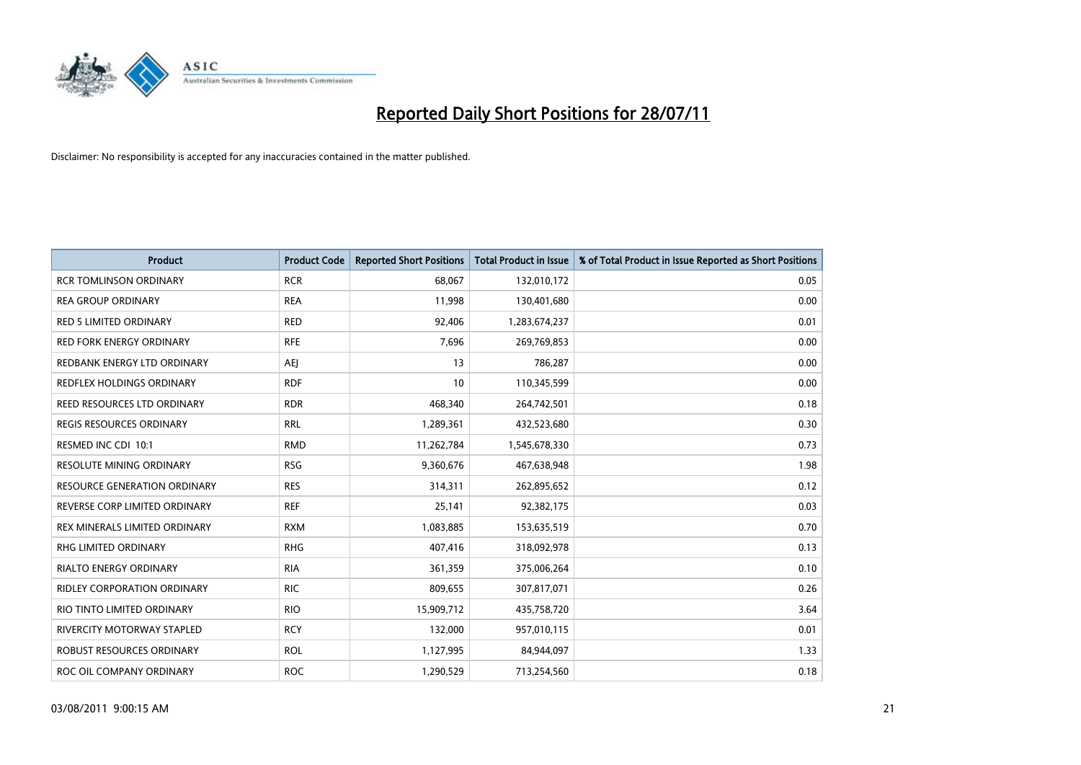

| <b>Product</b>                      | <b>Product Code</b> | <b>Reported Short Positions</b> | Total Product in Issue | % of Total Product in Issue Reported as Short Positions |
|-------------------------------------|---------------------|---------------------------------|------------------------|---------------------------------------------------------|
| <b>RCR TOMLINSON ORDINARY</b>       | <b>RCR</b>          | 68,067                          | 132,010,172            | 0.05                                                    |
| <b>REA GROUP ORDINARY</b>           | <b>REA</b>          | 11,998                          | 130,401,680            | 0.00                                                    |
| <b>RED 5 LIMITED ORDINARY</b>       | <b>RED</b>          | 92,406                          | 1,283,674,237          | 0.01                                                    |
| RED FORK ENERGY ORDINARY            | <b>RFE</b>          | 7,696                           | 269,769,853            | 0.00                                                    |
| REDBANK ENERGY LTD ORDINARY         | <b>AEI</b>          | 13                              | 786,287                | 0.00                                                    |
| REDFLEX HOLDINGS ORDINARY           | <b>RDF</b>          | 10                              | 110,345,599            | 0.00                                                    |
| REED RESOURCES LTD ORDINARY         | <b>RDR</b>          | 468,340                         | 264,742,501            | 0.18                                                    |
| REGIS RESOURCES ORDINARY            | <b>RRL</b>          | 1,289,361                       | 432,523,680            | 0.30                                                    |
| RESMED INC CDI 10:1                 | <b>RMD</b>          | 11,262,784                      | 1,545,678,330          | 0.73                                                    |
| <b>RESOLUTE MINING ORDINARY</b>     | <b>RSG</b>          | 9,360,676                       | 467,638,948            | 1.98                                                    |
| <b>RESOURCE GENERATION ORDINARY</b> | <b>RES</b>          | 314,311                         | 262,895,652            | 0.12                                                    |
| REVERSE CORP LIMITED ORDINARY       | <b>REF</b>          | 25,141                          | 92,382,175             | 0.03                                                    |
| REX MINERALS LIMITED ORDINARY       | <b>RXM</b>          | 1,083,885                       | 153,635,519            | 0.70                                                    |
| <b>RHG LIMITED ORDINARY</b>         | <b>RHG</b>          | 407,416                         | 318,092,978            | 0.13                                                    |
| <b>RIALTO ENERGY ORDINARY</b>       | <b>RIA</b>          | 361,359                         | 375,006,264            | 0.10                                                    |
| <b>RIDLEY CORPORATION ORDINARY</b>  | <b>RIC</b>          | 809,655                         | 307,817,071            | 0.26                                                    |
| RIO TINTO LIMITED ORDINARY          | <b>RIO</b>          | 15,909,712                      | 435,758,720            | 3.64                                                    |
| RIVERCITY MOTORWAY STAPLED          | <b>RCY</b>          | 132,000                         | 957,010,115            | 0.01                                                    |
| ROBUST RESOURCES ORDINARY           | <b>ROL</b>          | 1,127,995                       | 84,944,097             | 1.33                                                    |
| ROC OIL COMPANY ORDINARY            | <b>ROC</b>          | 1,290,529                       | 713,254,560            | 0.18                                                    |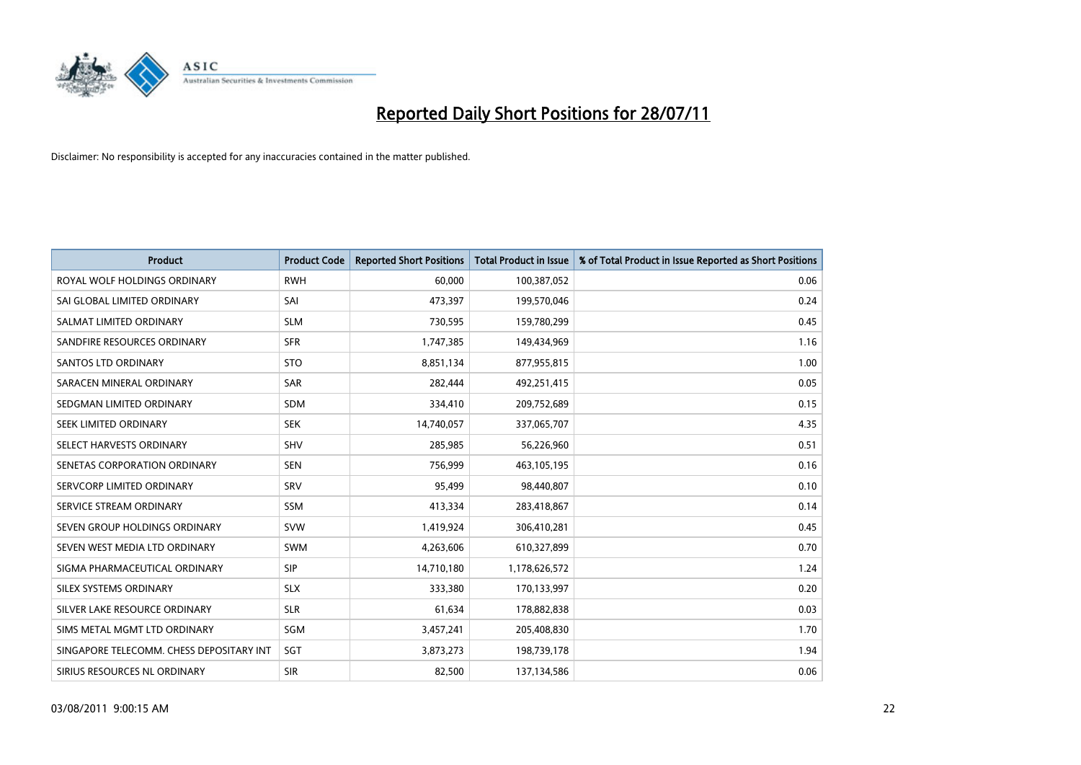

| <b>Product</b>                           | <b>Product Code</b> | <b>Reported Short Positions</b> | <b>Total Product in Issue</b> | % of Total Product in Issue Reported as Short Positions |
|------------------------------------------|---------------------|---------------------------------|-------------------------------|---------------------------------------------------------|
| ROYAL WOLF HOLDINGS ORDINARY             | <b>RWH</b>          | 60,000                          | 100,387,052                   | 0.06                                                    |
| SAI GLOBAL LIMITED ORDINARY              | SAI                 | 473,397                         | 199,570,046                   | 0.24                                                    |
| SALMAT LIMITED ORDINARY                  | <b>SLM</b>          | 730,595                         | 159,780,299                   | 0.45                                                    |
| SANDFIRE RESOURCES ORDINARY              | <b>SFR</b>          | 1,747,385                       | 149,434,969                   | 1.16                                                    |
| <b>SANTOS LTD ORDINARY</b>               | <b>STO</b>          | 8,851,134                       | 877,955,815                   | 1.00                                                    |
| SARACEN MINERAL ORDINARY                 | <b>SAR</b>          | 282,444                         | 492,251,415                   | 0.05                                                    |
| SEDGMAN LIMITED ORDINARY                 | <b>SDM</b>          | 334,410                         | 209,752,689                   | 0.15                                                    |
| SEEK LIMITED ORDINARY                    | <b>SEK</b>          | 14,740,057                      | 337,065,707                   | 4.35                                                    |
| SELECT HARVESTS ORDINARY                 | <b>SHV</b>          | 285,985                         | 56,226,960                    | 0.51                                                    |
| SENETAS CORPORATION ORDINARY             | <b>SEN</b>          | 756,999                         | 463,105,195                   | 0.16                                                    |
| SERVCORP LIMITED ORDINARY                | SRV                 | 95,499                          | 98,440,807                    | 0.10                                                    |
| SERVICE STREAM ORDINARY                  | SSM                 | 413,334                         | 283,418,867                   | 0.14                                                    |
| SEVEN GROUP HOLDINGS ORDINARY            | <b>SVW</b>          | 1,419,924                       | 306,410,281                   | 0.45                                                    |
| SEVEN WEST MEDIA LTD ORDINARY            | <b>SWM</b>          | 4,263,606                       | 610,327,899                   | 0.70                                                    |
| SIGMA PHARMACEUTICAL ORDINARY            | <b>SIP</b>          | 14,710,180                      | 1,178,626,572                 | 1.24                                                    |
| SILEX SYSTEMS ORDINARY                   | <b>SLX</b>          | 333,380                         | 170,133,997                   | 0.20                                                    |
| SILVER LAKE RESOURCE ORDINARY            | <b>SLR</b>          | 61,634                          | 178,882,838                   | 0.03                                                    |
| SIMS METAL MGMT LTD ORDINARY             | SGM                 | 3,457,241                       | 205,408,830                   | 1.70                                                    |
| SINGAPORE TELECOMM. CHESS DEPOSITARY INT | SGT                 | 3,873,273                       | 198,739,178                   | 1.94                                                    |
| SIRIUS RESOURCES NL ORDINARY             | <b>SIR</b>          | 82,500                          | 137,134,586                   | 0.06                                                    |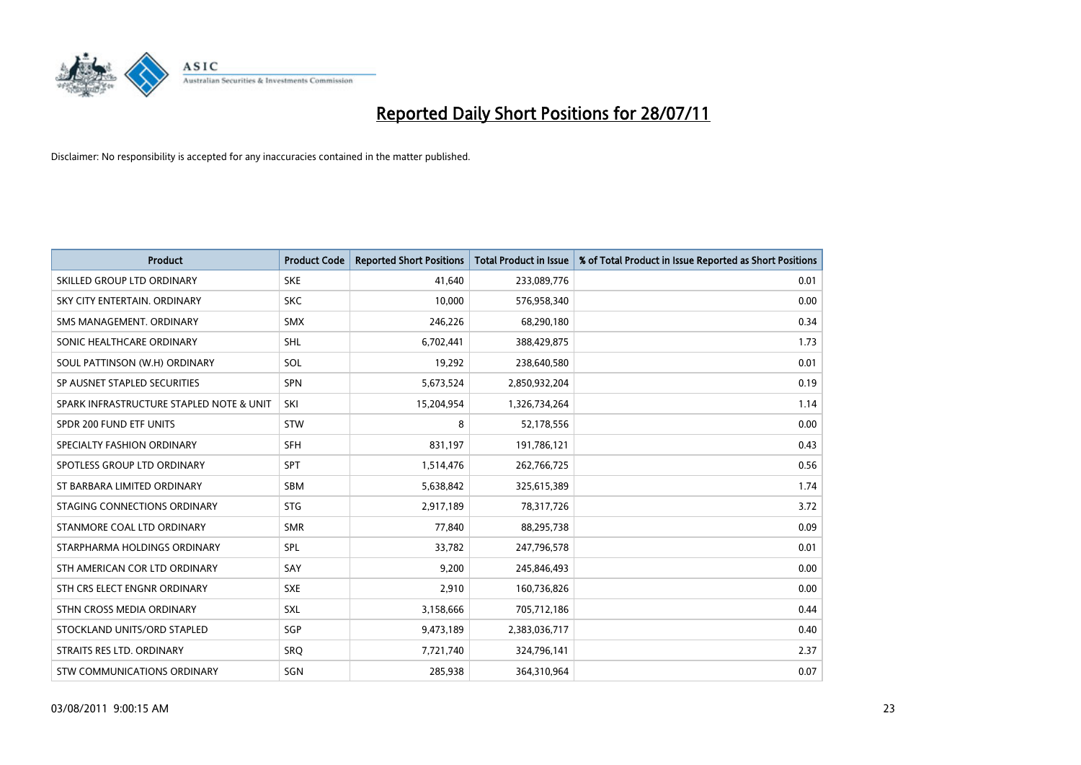

| <b>Product</b>                           | <b>Product Code</b> | <b>Reported Short Positions</b> | <b>Total Product in Issue</b> | % of Total Product in Issue Reported as Short Positions |
|------------------------------------------|---------------------|---------------------------------|-------------------------------|---------------------------------------------------------|
| SKILLED GROUP LTD ORDINARY               | <b>SKE</b>          | 41,640                          | 233,089,776                   | 0.01                                                    |
| SKY CITY ENTERTAIN. ORDINARY             | <b>SKC</b>          | 10,000                          | 576,958,340                   | 0.00                                                    |
| SMS MANAGEMENT. ORDINARY                 | <b>SMX</b>          | 246,226                         | 68,290,180                    | 0.34                                                    |
| SONIC HEALTHCARE ORDINARY                | <b>SHL</b>          | 6,702,441                       | 388,429,875                   | 1.73                                                    |
| SOUL PATTINSON (W.H) ORDINARY            | SOL                 | 19,292                          | 238,640,580                   | 0.01                                                    |
| SP AUSNET STAPLED SECURITIES             | <b>SPN</b>          | 5,673,524                       | 2,850,932,204                 | 0.19                                                    |
| SPARK INFRASTRUCTURE STAPLED NOTE & UNIT | SKI                 | 15,204,954                      | 1,326,734,264                 | 1.14                                                    |
| SPDR 200 FUND ETF UNITS                  | <b>STW</b>          | 8                               | 52,178,556                    | 0.00                                                    |
| SPECIALTY FASHION ORDINARY               | <b>SFH</b>          | 831,197                         | 191,786,121                   | 0.43                                                    |
| SPOTLESS GROUP LTD ORDINARY              | <b>SPT</b>          | 1,514,476                       | 262,766,725                   | 0.56                                                    |
| ST BARBARA LIMITED ORDINARY              | SBM                 | 5,638,842                       | 325,615,389                   | 1.74                                                    |
| STAGING CONNECTIONS ORDINARY             | <b>STG</b>          | 2,917,189                       | 78,317,726                    | 3.72                                                    |
| STANMORE COAL LTD ORDINARY               | <b>SMR</b>          | 77,840                          | 88,295,738                    | 0.09                                                    |
| STARPHARMA HOLDINGS ORDINARY             | SPL                 | 33,782                          | 247,796,578                   | 0.01                                                    |
| STH AMERICAN COR LTD ORDINARY            | SAY                 | 9,200                           | 245,846,493                   | 0.00                                                    |
| STH CRS ELECT ENGNR ORDINARY             | <b>SXE</b>          | 2,910                           | 160,736,826                   | 0.00                                                    |
| STHN CROSS MEDIA ORDINARY                | SXL                 | 3,158,666                       | 705,712,186                   | 0.44                                                    |
| STOCKLAND UNITS/ORD STAPLED              | <b>SGP</b>          | 9,473,189                       | 2,383,036,717                 | 0.40                                                    |
| STRAITS RES LTD. ORDINARY                | <b>SRO</b>          | 7,721,740                       | 324,796,141                   | 2.37                                                    |
| STW COMMUNICATIONS ORDINARY              | SGN                 | 285,938                         | 364,310,964                   | 0.07                                                    |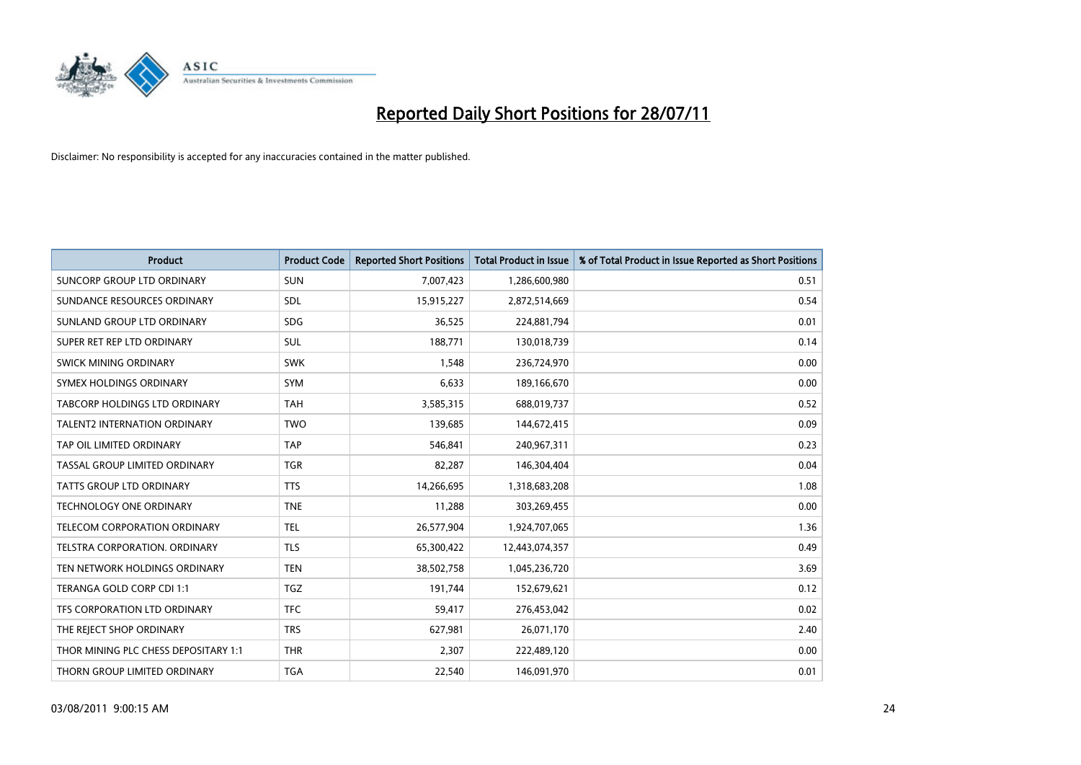

| <b>Product</b>                       | <b>Product Code</b> | <b>Reported Short Positions</b> | <b>Total Product in Issue</b> | % of Total Product in Issue Reported as Short Positions |
|--------------------------------------|---------------------|---------------------------------|-------------------------------|---------------------------------------------------------|
| SUNCORP GROUP LTD ORDINARY           | <b>SUN</b>          | 7,007,423                       | 1,286,600,980                 | 0.51                                                    |
| SUNDANCE RESOURCES ORDINARY          | <b>SDL</b>          | 15,915,227                      | 2,872,514,669                 | 0.54                                                    |
| SUNLAND GROUP LTD ORDINARY           | <b>SDG</b>          | 36,525                          | 224,881,794                   | 0.01                                                    |
| SUPER RET REP LTD ORDINARY           | <b>SUL</b>          | 188,771                         | 130,018,739                   | 0.14                                                    |
| <b>SWICK MINING ORDINARY</b>         | <b>SWK</b>          | 1,548                           | 236,724,970                   | 0.00                                                    |
| SYMEX HOLDINGS ORDINARY              | <b>SYM</b>          | 6,633                           | 189,166,670                   | 0.00                                                    |
| TABCORP HOLDINGS LTD ORDINARY        | <b>TAH</b>          | 3,585,315                       | 688,019,737                   | 0.52                                                    |
| <b>TALENT2 INTERNATION ORDINARY</b>  | <b>TWO</b>          | 139,685                         | 144,672,415                   | 0.09                                                    |
| TAP OIL LIMITED ORDINARY             | <b>TAP</b>          | 546,841                         | 240,967,311                   | 0.23                                                    |
| TASSAL GROUP LIMITED ORDINARY        | <b>TGR</b>          | 82,287                          | 146,304,404                   | 0.04                                                    |
| <b>TATTS GROUP LTD ORDINARY</b>      | <b>TTS</b>          | 14,266,695                      | 1,318,683,208                 | 1.08                                                    |
| <b>TECHNOLOGY ONE ORDINARY</b>       | <b>TNE</b>          | 11,288                          | 303,269,455                   | 0.00                                                    |
| TELECOM CORPORATION ORDINARY         | <b>TEL</b>          | 26,577,904                      | 1,924,707,065                 | 1.36                                                    |
| <b>TELSTRA CORPORATION, ORDINARY</b> | <b>TLS</b>          | 65,300,422                      | 12,443,074,357                | 0.49                                                    |
| TEN NETWORK HOLDINGS ORDINARY        | <b>TEN</b>          | 38,502,758                      | 1,045,236,720                 | 3.69                                                    |
| TERANGA GOLD CORP CDI 1:1            | <b>TGZ</b>          | 191,744                         | 152,679,621                   | 0.12                                                    |
| TFS CORPORATION LTD ORDINARY         | <b>TFC</b>          | 59,417                          | 276,453,042                   | 0.02                                                    |
| THE REJECT SHOP ORDINARY             | <b>TRS</b>          | 627,981                         | 26,071,170                    | 2.40                                                    |
| THOR MINING PLC CHESS DEPOSITARY 1:1 | <b>THR</b>          | 2,307                           | 222,489,120                   | 0.00                                                    |
| THORN GROUP LIMITED ORDINARY         | <b>TGA</b>          | 22,540                          | 146,091,970                   | 0.01                                                    |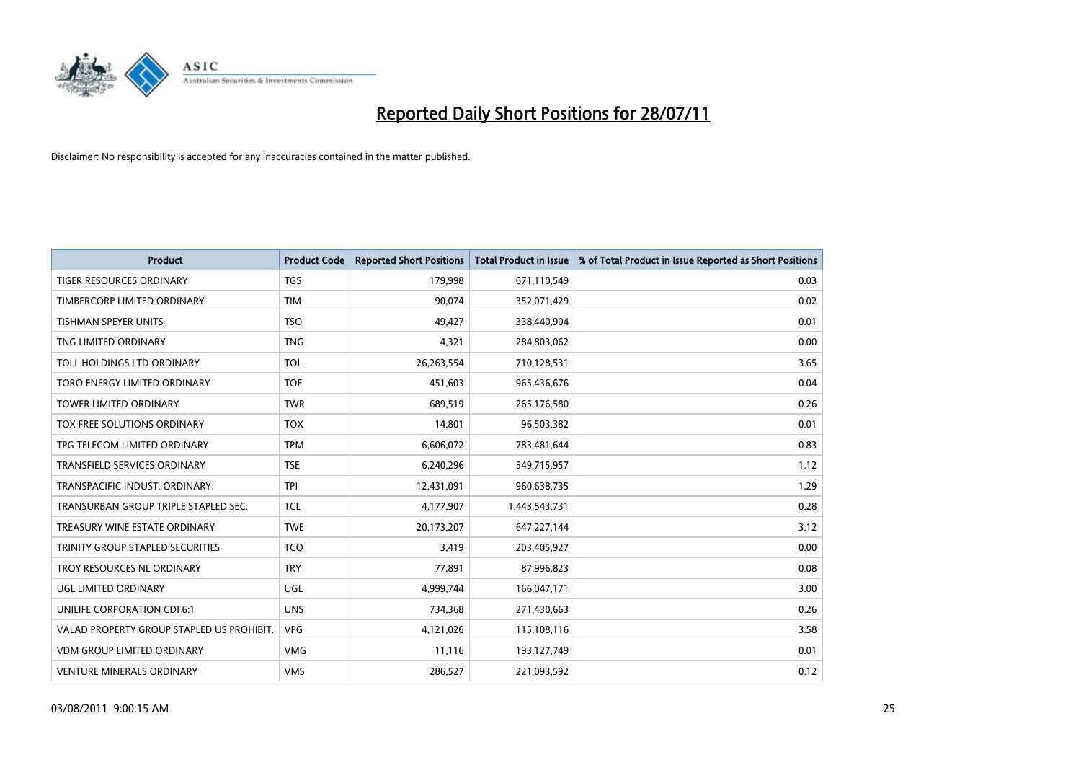

| <b>Product</b>                            | <b>Product Code</b> | <b>Reported Short Positions</b> | <b>Total Product in Issue</b> | % of Total Product in Issue Reported as Short Positions |
|-------------------------------------------|---------------------|---------------------------------|-------------------------------|---------------------------------------------------------|
| <b>TIGER RESOURCES ORDINARY</b>           | <b>TGS</b>          | 179,998                         | 671,110,549                   | 0.03                                                    |
| TIMBERCORP LIMITED ORDINARY               | <b>TIM</b>          | 90,074                          | 352,071,429                   | 0.02                                                    |
| <b>TISHMAN SPEYER UNITS</b>               | <b>TSO</b>          | 49,427                          | 338,440,904                   | 0.01                                                    |
| TNG LIMITED ORDINARY                      | <b>TNG</b>          | 4,321                           | 284,803,062                   | 0.00                                                    |
| TOLL HOLDINGS LTD ORDINARY                | <b>TOL</b>          | 26,263,554                      | 710,128,531                   | 3.65                                                    |
| TORO ENERGY LIMITED ORDINARY              | <b>TOE</b>          | 451,603                         | 965,436,676                   | 0.04                                                    |
| <b>TOWER LIMITED ORDINARY</b>             | <b>TWR</b>          | 689,519                         | 265,176,580                   | 0.26                                                    |
| TOX FREE SOLUTIONS ORDINARY               | <b>TOX</b>          | 14,801                          | 96,503,382                    | 0.01                                                    |
| TPG TELECOM LIMITED ORDINARY              | <b>TPM</b>          | 6,606,072                       | 783,481,644                   | 0.83                                                    |
| <b>TRANSFIELD SERVICES ORDINARY</b>       | <b>TSE</b>          | 6,240,296                       | 549,715,957                   | 1.12                                                    |
| TRANSPACIFIC INDUST. ORDINARY             | <b>TPI</b>          | 12,431,091                      | 960,638,735                   | 1.29                                                    |
| TRANSURBAN GROUP TRIPLE STAPLED SEC.      | <b>TCL</b>          | 4,177,907                       | 1,443,543,731                 | 0.28                                                    |
| TREASURY WINE ESTATE ORDINARY             | <b>TWE</b>          | 20,173,207                      | 647,227,144                   | 3.12                                                    |
| TRINITY GROUP STAPLED SECURITIES          | <b>TCO</b>          | 3,419                           | 203,405,927                   | 0.00                                                    |
| TROY RESOURCES NL ORDINARY                | <b>TRY</b>          | 77,891                          | 87,996,823                    | 0.08                                                    |
| UGL LIMITED ORDINARY                      | UGL                 | 4,999,744                       | 166,047,171                   | 3.00                                                    |
| UNILIFE CORPORATION CDI 6:1               | <b>UNS</b>          | 734,368                         | 271,430,663                   | 0.26                                                    |
| VALAD PROPERTY GROUP STAPLED US PROHIBIT. | <b>VPG</b>          | 4,121,026                       | 115,108,116                   | 3.58                                                    |
| <b>VDM GROUP LIMITED ORDINARY</b>         | <b>VMG</b>          | 11,116                          | 193,127,749                   | 0.01                                                    |
| <b>VENTURE MINERALS ORDINARY</b>          | <b>VMS</b>          | 286.527                         | 221,093,592                   | 0.12                                                    |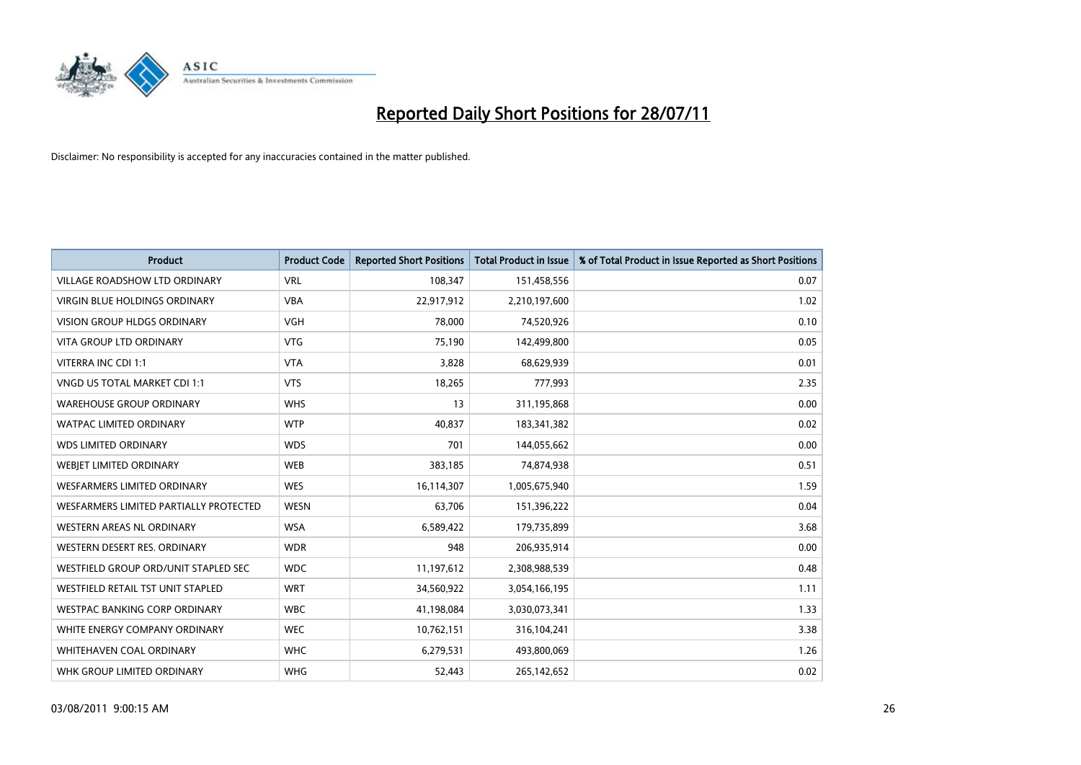

| <b>Product</b>                         | <b>Product Code</b> | <b>Reported Short Positions</b> | Total Product in Issue | % of Total Product in Issue Reported as Short Positions |
|----------------------------------------|---------------------|---------------------------------|------------------------|---------------------------------------------------------|
| <b>VILLAGE ROADSHOW LTD ORDINARY</b>   | <b>VRL</b>          | 108,347                         | 151,458,556            | 0.07                                                    |
| <b>VIRGIN BLUE HOLDINGS ORDINARY</b>   | <b>VBA</b>          | 22,917,912                      | 2,210,197,600          | 1.02                                                    |
| <b>VISION GROUP HLDGS ORDINARY</b>     | <b>VGH</b>          | 78,000                          | 74,520,926             | 0.10                                                    |
| <b>VITA GROUP LTD ORDINARY</b>         | <b>VTG</b>          | 75,190                          | 142,499,800            | 0.05                                                    |
| VITERRA INC CDI 1:1                    | <b>VTA</b>          | 3,828                           | 68,629,939             | 0.01                                                    |
| VNGD US TOTAL MARKET CDI 1:1           | <b>VTS</b>          | 18,265                          | 777,993                | 2.35                                                    |
| <b>WAREHOUSE GROUP ORDINARY</b>        | <b>WHS</b>          | 13                              | 311,195,868            | 0.00                                                    |
| <b>WATPAC LIMITED ORDINARY</b>         | <b>WTP</b>          | 40,837                          | 183,341,382            | 0.02                                                    |
| <b>WDS LIMITED ORDINARY</b>            | <b>WDS</b>          | 701                             | 144,055,662            | 0.00                                                    |
| WEBIET LIMITED ORDINARY                | <b>WEB</b>          | 383,185                         | 74,874,938             | 0.51                                                    |
| WESFARMERS LIMITED ORDINARY            | <b>WES</b>          | 16,114,307                      | 1,005,675,940          | 1.59                                                    |
| WESFARMERS LIMITED PARTIALLY PROTECTED | <b>WESN</b>         | 63.706                          | 151,396,222            | 0.04                                                    |
| WESTERN AREAS NL ORDINARY              | <b>WSA</b>          | 6,589,422                       | 179,735,899            | 3.68                                                    |
| WESTERN DESERT RES. ORDINARY           | <b>WDR</b>          | 948                             | 206,935,914            | 0.00                                                    |
| WESTFIELD GROUP ORD/UNIT STAPLED SEC   | <b>WDC</b>          | 11,197,612                      | 2,308,988,539          | 0.48                                                    |
| WESTFIELD RETAIL TST UNIT STAPLED      | <b>WRT</b>          | 34,560,922                      | 3,054,166,195          | 1.11                                                    |
| <b>WESTPAC BANKING CORP ORDINARY</b>   | <b>WBC</b>          | 41,198,084                      | 3,030,073,341          | 1.33                                                    |
| WHITE ENERGY COMPANY ORDINARY          | <b>WEC</b>          | 10,762,151                      | 316,104,241            | 3.38                                                    |
| WHITEHAVEN COAL ORDINARY               | <b>WHC</b>          | 6,279,531                       | 493,800,069            | 1.26                                                    |
| WHK GROUP LIMITED ORDINARY             | <b>WHG</b>          | 52,443                          | 265,142,652            | 0.02                                                    |